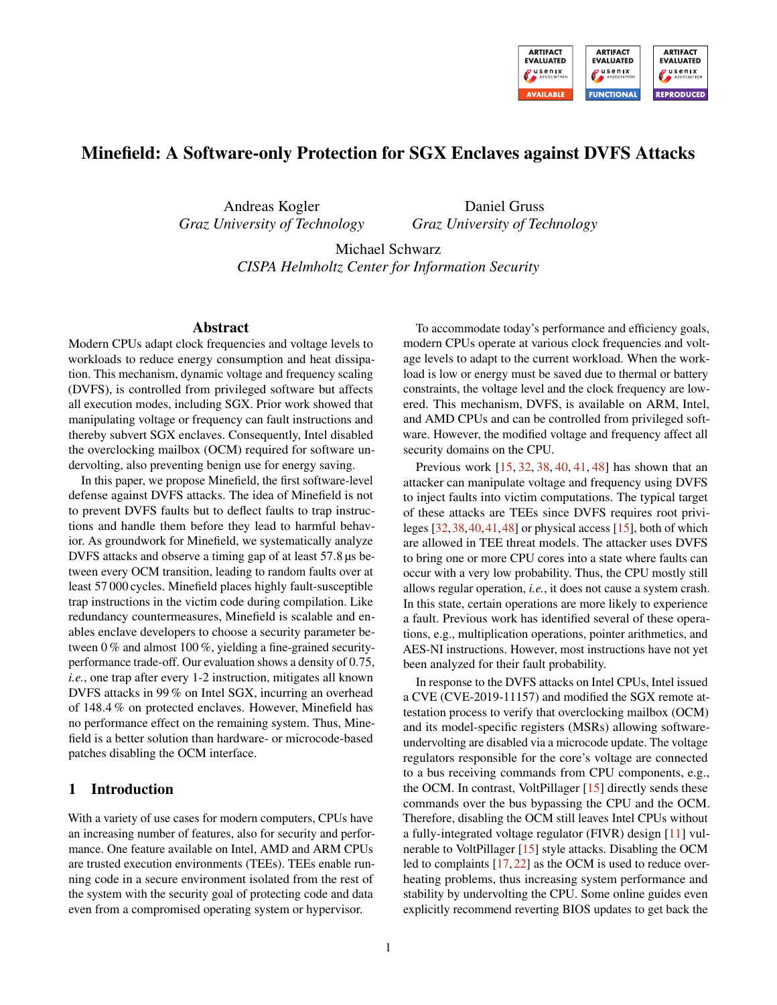

# Minefield: A Software-only Protection for SGX Enclaves against DVFS Attacks

Andreas Kogler *Graz University of Technology*

Daniel Gruss *Graz University of Technology*

Michael Schwarz *CISPA Helmholtz Center for Information Security*

## Abstract

Modern CPUs adapt clock frequencies and voltage levels to workloads to reduce energy consumption and heat dissipation. This mechanism, dynamic voltage and frequency scaling (DVFS), is controlled from privileged software but affects all execution modes, including SGX. Prior work showed that manipulating voltage or frequency can fault instructions and thereby subvert SGX enclaves. Consequently, Intel disabled the overclocking mailbox (OCM) required for software undervolting, also preventing benign use for energy saving.

In this paper, we propose Minefield, the first software-level defense against DVFS attacks. The idea of Minefield is not to prevent DVFS faults but to deflect faults to trap instructions and handle them before they lead to harmful behavior. As groundwork for Minefield, we systematically analyze DVFS attacks and observe a timing gap of at least 57.8 µs between every OCM transition, leading to random faults over at least 57 000 cycles. Minefield places highly fault-susceptible trap instructions in the victim code during compilation. Like redundancy countermeasures, Minefield is scalable and enables enclave developers to choose a security parameter between 0 % and almost 100 %, yielding a fine-grained securityperformance trade-off. Our evaluation shows a density of 0.75, *i.e.*, one trap after every 1-2 instruction, mitigates all known DVFS attacks in 99 % on Intel SGX, incurring an overhead of 148.4 % on protected enclaves. However, Minefield has no performance effect on the remaining system. Thus, Minefield is a better solution than hardware- or microcode-based patches disabling the OCM interface.

## 1 Introduction

With a variety of use cases for modern computers, CPUs have an increasing number of features, also for security and performance. One feature available on Intel, AMD and ARM CPUs are trusted execution environments (TEEs). TEEs enable running code in a secure environment isolated from the rest of the system with the security goal of protecting code and data even from a compromised operating system or hypervisor.

To accommodate today's performance and efficiency goals, modern CPUs operate at various clock frequencies and voltage levels to adapt to the current workload. When the workload is low or energy must be saved due to thermal or battery constraints, the voltage level and the clock frequency are lowered. This mechanism, DVFS, is available on ARM, Intel, and AMD CPUs and can be controlled from privileged software. However, the modified voltage and frequency affect all security domains on the CPU.

Previous work [\[15,](#page-14-0) [32,](#page-14-1) [38,](#page-15-0) [40,](#page-15-1) [41,](#page-15-2) [48\]](#page-15-3) has shown that an attacker can manipulate voltage and frequency using DVFS to inject faults into victim computations. The typical target of these attacks are TEEs since DVFS requires root privileges [\[32,](#page-14-1)[38,](#page-15-0)[40,](#page-15-1)[41,](#page-15-2)[48\]](#page-15-3) or physical access [\[15\]](#page-14-0), both of which are allowed in TEE threat models. The attacker uses DVFS to bring one or more CPU cores into a state where faults can occur with a very low probability. Thus, the CPU mostly still allows regular operation, *i.e.*, it does not cause a system crash. In this state, certain operations are more likely to experience a fault. Previous work has identified several of these operations, e.g., multiplication operations, pointer arithmetics, and AES-NI instructions. However, most instructions have not yet been analyzed for their fault probability.

In response to the DVFS attacks on Intel CPUs, Intel issued a CVE (CVE-2019-11157) and modified the SGX remote attestation process to verify that overclocking mailbox (OCM) and its model-specific registers (MSRs) allowing softwareundervolting are disabled via a microcode update. The voltage regulators responsible for the core's voltage are connected to a bus receiving commands from CPU components, e.g., the OCM. In contrast, VoltPillager [\[15\]](#page-14-0) directly sends these commands over the bus bypassing the CPU and the OCM. Therefore, disabling the OCM still leaves Intel CPUs without a fully-integrated voltage regulator (FIVR) design [\[11\]](#page-14-2) vulnerable to VoltPillager [\[15\]](#page-14-0) style attacks. Disabling the OCM led to complaints [\[17,](#page-14-3) [22\]](#page-14-4) as the OCM is used to reduce overheating problems, thus increasing system performance and stability by undervolting the CPU. Some online guides even explicitly recommend reverting BIOS updates to get back the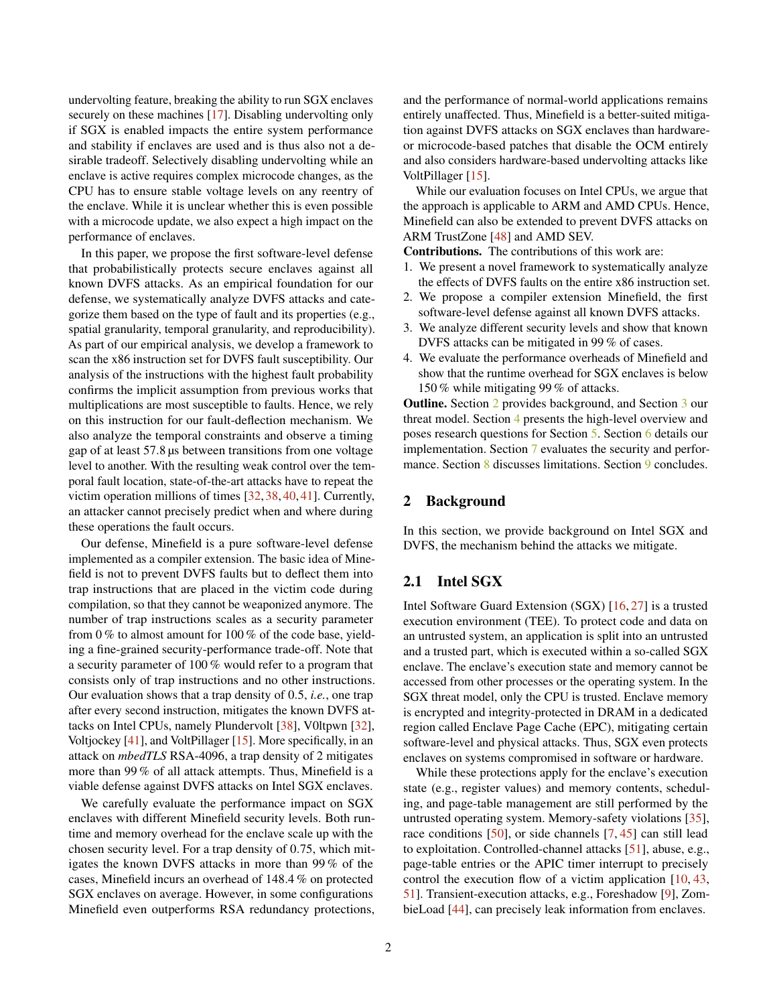undervolting feature, breaking the ability to run SGX enclaves securely on these machines [\[17\]](#page-14-3). Disabling undervolting only if SGX is enabled impacts the entire system performance and stability if enclaves are used and is thus also not a desirable tradeoff. Selectively disabling undervolting while an enclave is active requires complex microcode changes, as the CPU has to ensure stable voltage levels on any reentry of the enclave. While it is unclear whether this is even possible with a microcode update, we also expect a high impact on the performance of enclaves.

In this paper, we propose the first software-level defense that probabilistically protects secure enclaves against all known DVFS attacks. As an empirical foundation for our defense, we systematically analyze DVFS attacks and categorize them based on the type of fault and its properties (e.g., spatial granularity, temporal granularity, and reproducibility). As part of our empirical analysis, we develop a framework to scan the x86 instruction set for DVFS fault susceptibility. Our analysis of the instructions with the highest fault probability confirms the implicit assumption from previous works that multiplications are most susceptible to faults. Hence, we rely on this instruction for our fault-deflection mechanism. We also analyze the temporal constraints and observe a timing gap of at least 57.8 µs between transitions from one voltage level to another. With the resulting weak control over the temporal fault location, state-of-the-art attacks have to repeat the victim operation millions of times [\[32,](#page-14-1) [38,](#page-15-0) [40,](#page-15-1) [41\]](#page-15-2). Currently, an attacker cannot precisely predict when and where during these operations the fault occurs.

Our defense, Minefield is a pure software-level defense implemented as a compiler extension. The basic idea of Minefield is not to prevent DVFS faults but to deflect them into trap instructions that are placed in the victim code during compilation, so that they cannot be weaponized anymore. The number of trap instructions scales as a security parameter from 0 % to almost amount for 100 % of the code base, yielding a fine-grained security-performance trade-off. Note that a security parameter of 100 % would refer to a program that consists only of trap instructions and no other instructions. Our evaluation shows that a trap density of 0.5, *i.e.*, one trap after every second instruction, mitigates the known DVFS attacks on Intel CPUs, namely Plundervolt [\[38\]](#page-15-0), V0ltpwn [\[32\]](#page-14-1), Voltjockey [\[41\]](#page-15-2), and VoltPillager [\[15\]](#page-14-0). More specifically, in an attack on *mbedTLS* RSA-4096, a trap density of 2 mitigates more than 99 % of all attack attempts. Thus, Minefield is a viable defense against DVFS attacks on Intel SGX enclaves.

We carefully evaluate the performance impact on SGX enclaves with different Minefield security levels. Both runtime and memory overhead for the enclave scale up with the chosen security level. For a trap density of 0.75, which mitigates the known DVFS attacks in more than 99 % of the cases, Minefield incurs an overhead of 148.4 % on protected SGX enclaves on average. However, in some configurations Minefield even outperforms RSA redundancy protections, and the performance of normal-world applications remains entirely unaffected. Thus, Minefield is a better-suited mitigation against DVFS attacks on SGX enclaves than hardwareor microcode-based patches that disable the OCM entirely and also considers hardware-based undervolting attacks like VoltPillager [\[15\]](#page-14-0).

While our evaluation focuses on Intel CPUs, we argue that the approach is applicable to ARM and AMD CPUs. Hence, Minefield can also be extended to prevent DVFS attacks on ARM TrustZone [\[48\]](#page-15-3) and AMD SEV.

Contributions. The contributions of this work are:

- 1. We present a novel framework to systematically analyze the effects of DVFS faults on the entire x86 instruction set.
- 2. We propose a compiler extension Minefield, the first software-level defense against all known DVFS attacks.
- 3. We analyze different security levels and show that known DVFS attacks can be mitigated in 99 % of cases.
- 4. We evaluate the performance overheads of Minefield and show that the runtime overhead for SGX enclaves is below 150 % while mitigating 99 % of attacks.

Outline. Section [2](#page-1-0) provides background, and Section [3](#page-2-0) our threat model. Section [4](#page-2-1) presents the high-level overview and poses research questions for Section [5.](#page-3-0) Section [6](#page-6-0) details our implementation. Section [7](#page-8-0) evaluates the security and perfor-mance. Section [8](#page-12-0) discusses limitations. Section [9](#page-13-0) concludes.

## <span id="page-1-0"></span>2 Background

In this section, we provide background on Intel SGX and DVFS, the mechanism behind the attacks we mitigate.

# 2.1 Intel SGX

Intel Software Guard Extension (SGX) [\[16,](#page-14-5) [27\]](#page-14-6) is a trusted execution environment (TEE). To protect code and data on an untrusted system, an application is split into an untrusted and a trusted part, which is executed within a so-called SGX enclave. The enclave's execution state and memory cannot be accessed from other processes or the operating system. In the SGX threat model, only the CPU is trusted. Enclave memory is encrypted and integrity-protected in DRAM in a dedicated region called Enclave Page Cache (EPC), mitigating certain software-level and physical attacks. Thus, SGX even protects enclaves on systems compromised in software or hardware.

While these protections apply for the enclave's execution state (e.g., register values) and memory contents, scheduling, and page-table management are still performed by the untrusted operating system. Memory-safety violations [\[35\]](#page-15-4), race conditions [\[50\]](#page-15-5), or side channels [\[7,](#page-13-1) [45\]](#page-15-6) can still lead to exploitation. Controlled-channel attacks [\[51\]](#page-15-7), abuse, e.g., page-table entries or the APIC timer interrupt to precisely control the execution flow of a victim application [\[10,](#page-14-7) [43,](#page-15-8) [51\]](#page-15-7). Transient-execution attacks, e.g., Foreshadow [\[9\]](#page-13-2), ZombieLoad [\[44\]](#page-15-9), can precisely leak information from enclaves.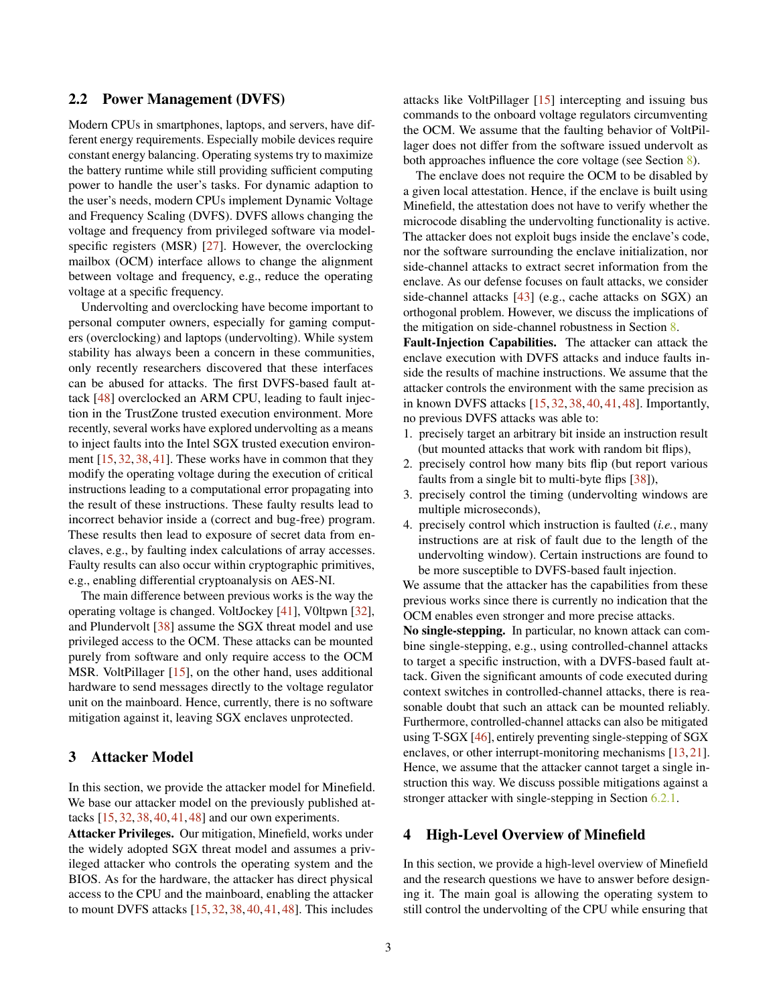## 2.2 Power Management (DVFS)

Modern CPUs in smartphones, laptops, and servers, have different energy requirements. Especially mobile devices require constant energy balancing. Operating systems try to maximize the battery runtime while still providing sufficient computing power to handle the user's tasks. For dynamic adaption to the user's needs, modern CPUs implement Dynamic Voltage and Frequency Scaling (DVFS). DVFS allows changing the voltage and frequency from privileged software via modelspecific registers (MSR) [\[27\]](#page-14-6). However, the overclocking mailbox (OCM) interface allows to change the alignment between voltage and frequency, e.g., reduce the operating voltage at a specific frequency.

Undervolting and overclocking have become important to personal computer owners, especially for gaming computers (overclocking) and laptops (undervolting). While system stability has always been a concern in these communities, only recently researchers discovered that these interfaces can be abused for attacks. The first DVFS-based fault attack [\[48\]](#page-15-3) overclocked an ARM CPU, leading to fault injection in the TrustZone trusted execution environment. More recently, several works have explored undervolting as a means to inject faults into the Intel SGX trusted execution environment [\[15,](#page-14-0) [32,](#page-14-1) [38,](#page-15-0) [41\]](#page-15-2). These works have in common that they modify the operating voltage during the execution of critical instructions leading to a computational error propagating into the result of these instructions. These faulty results lead to incorrect behavior inside a (correct and bug-free) program. These results then lead to exposure of secret data from enclaves, e.g., by faulting index calculations of array accesses. Faulty results can also occur within cryptographic primitives, e.g., enabling differential cryptoanalysis on AES-NI.

The main difference between previous works is the way the operating voltage is changed. VoltJockey [\[41\]](#page-15-2), V0ltpwn [\[32\]](#page-14-1), and Plundervolt [\[38\]](#page-15-0) assume the SGX threat model and use privileged access to the OCM. These attacks can be mounted purely from software and only require access to the OCM MSR. VoltPillager [\[15\]](#page-14-0), on the other hand, uses additional hardware to send messages directly to the voltage regulator unit on the mainboard. Hence, currently, there is no software mitigation against it, leaving SGX enclaves unprotected.

## <span id="page-2-0"></span>3 Attacker Model

In this section, we provide the attacker model for Minefield. We base our attacker model on the previously published attacks [\[15,](#page-14-0) [32,](#page-14-1) [38,](#page-15-0) [40,](#page-15-1) [41,](#page-15-2) [48\]](#page-15-3) and our own experiments.

Attacker Privileges. Our mitigation, Minefield, works under the widely adopted SGX threat model and assumes a privileged attacker who controls the operating system and the BIOS. As for the hardware, the attacker has direct physical access to the CPU and the mainboard, enabling the attacker to mount DVFS attacks [\[15,](#page-14-0) [32,](#page-14-1) [38,](#page-15-0) [40,](#page-15-1) [41,](#page-15-2) [48\]](#page-15-3). This includes

attacks like VoltPillager [\[15\]](#page-14-0) intercepting and issuing bus commands to the onboard voltage regulators circumventing the OCM. We assume that the faulting behavior of VoltPillager does not differ from the software issued undervolt as both approaches influence the core voltage (see Section [8\)](#page-12-0).

The enclave does not require the OCM to be disabled by a given local attestation. Hence, if the enclave is built using Minefield, the attestation does not have to verify whether the microcode disabling the undervolting functionality is active. The attacker does not exploit bugs inside the enclave's code, nor the software surrounding the enclave initialization, nor side-channel attacks to extract secret information from the enclave. As our defense focuses on fault attacks, we consider side-channel attacks [\[43\]](#page-15-8) (e.g., cache attacks on SGX) an orthogonal problem. However, we discuss the implications of the mitigation on side-channel robustness in Section [8.](#page-12-0)

Fault-Injection Capabilities. The attacker can attack the enclave execution with DVFS attacks and induce faults inside the results of machine instructions. We assume that the attacker controls the environment with the same precision as in known DVFS attacks [\[15,](#page-14-0) [32,](#page-14-1) [38,](#page-15-0) [40,](#page-15-1) [41,](#page-15-2) [48\]](#page-15-3). Importantly, no previous DVFS attacks was able to:

- 1. precisely target an arbitrary bit inside an instruction result (but mounted attacks that work with random bit flips),
- 2. precisely control how many bits flip (but report various faults from a single bit to multi-byte flips [\[38\]](#page-15-0)),
- 3. precisely control the timing (undervolting windows are multiple microseconds),
- 4. precisely control which instruction is faulted (*i.e.*, many instructions are at risk of fault due to the length of the undervolting window). Certain instructions are found to be more susceptible to DVFS-based fault injection.

We assume that the attacker has the capabilities from these previous works since there is currently no indication that the OCM enables even stronger and more precise attacks.

No single-stepping. In particular, no known attack can combine single-stepping, e.g., using controlled-channel attacks to target a specific instruction, with a DVFS-based fault attack. Given the significant amounts of code executed during context switches in controlled-channel attacks, there is reasonable doubt that such an attack can be mounted reliably. Furthermore, controlled-channel attacks can also be mitigated using T-SGX [\[46\]](#page-15-10), entirely preventing single-stepping of SGX enclaves, or other interrupt-monitoring mechanisms [\[13,](#page-14-8) [21\]](#page-14-9). Hence, we assume that the attacker cannot target a single instruction this way. We discuss possible mitigations against a stronger attacker with single-stepping in Section [6.2.1.](#page-8-1)

## <span id="page-2-1"></span>4 High-Level Overview of Minefield

In this section, we provide a high-level overview of Minefield and the research questions we have to answer before designing it. The main goal is allowing the operating system to still control the undervolting of the CPU while ensuring that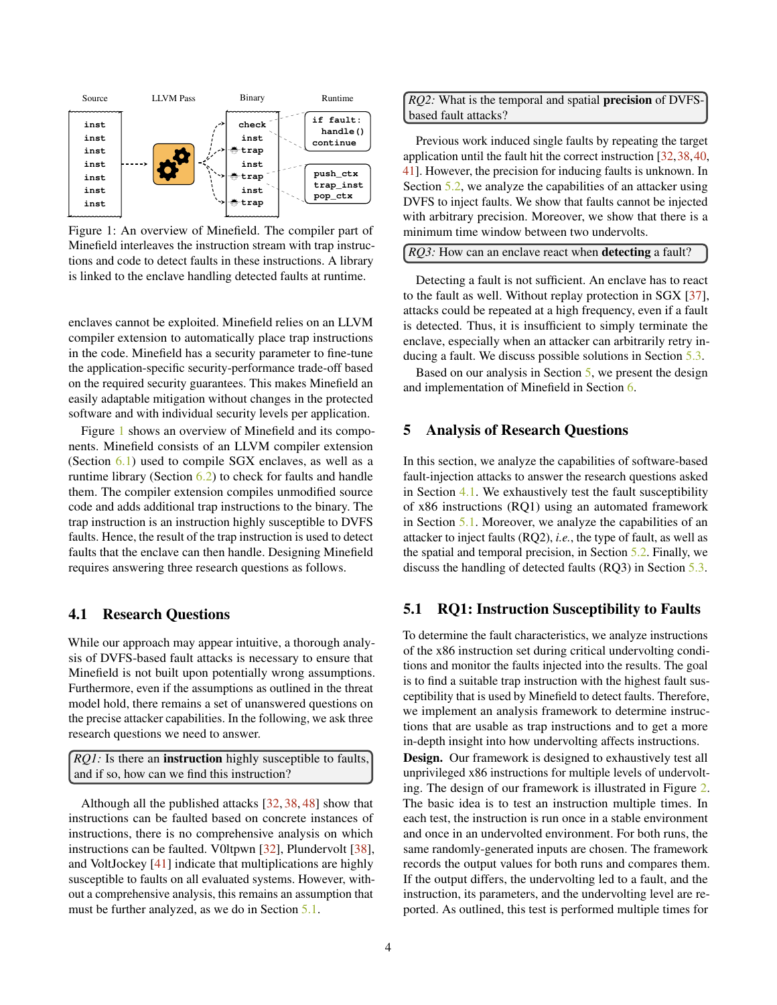<span id="page-3-1"></span>

Figure 1: An overview of Minefield. The compiler part of Minefield interleaves the instruction stream with trap instructions and code to detect faults in these instructions. A library is linked to the enclave handling detected faults at runtime.

enclaves cannot be exploited. Minefield relies on an LLVM compiler extension to automatically place trap instructions in the code. Minefield has a security parameter to fine-tune the application-specific security-performance trade-off based on the required security guarantees. This makes Minefield an easily adaptable mitigation without changes in the protected software and with individual security levels per application.

Figure [1](#page-3-1) shows an overview of Minefield and its components. Minefield consists of an LLVM compiler extension (Section  $6.1$ ) used to compile SGX enclaves, as well as a runtime library (Section [6.2\)](#page-8-2) to check for faults and handle them. The compiler extension compiles unmodified source code and adds additional trap instructions to the binary. The trap instruction is an instruction highly susceptible to DVFS faults. Hence, the result of the trap instruction is used to detect faults that the enclave can then handle. Designing Minefield requires answering three research questions as follows.

## <span id="page-3-3"></span>4.1 Research Questions

While our approach may appear intuitive, a thorough analysis of DVFS-based fault attacks is necessary to ensure that Minefield is not built upon potentially wrong assumptions. Furthermore, even if the assumptions as outlined in the threat model hold, there remains a set of unanswered questions on the precise attacker capabilities. In the following, we ask three research questions we need to answer.

*RQ1*: Is there an **instruction** highly susceptible to faults, and if so, how can we find this instruction?

Although all the published attacks [\[32,](#page-14-1) [38,](#page-15-0) [48\]](#page-15-3) show that instructions can be faulted based on concrete instances of instructions, there is no comprehensive analysis on which instructions can be faulted. V0ltpwn [\[32\]](#page-14-1), Plundervolt [\[38\]](#page-15-0), and VoltJockey [\[41\]](#page-15-2) indicate that multiplications are highly susceptible to faults on all evaluated systems. However, without a comprehensive analysis, this remains an assumption that must be further analyzed, as we do in Section [5.1.](#page-3-2)

*RQ2:* What is the temporal and spatial precision of DVFSbased fault attacks?

Previous work induced single faults by repeating the target application until the fault hit the correct instruction [\[32,](#page-14-1)[38,](#page-15-0)[40,](#page-15-1) [41\]](#page-15-2). However, the precision for inducing faults is unknown. In Section [5.2,](#page-4-0) we analyze the capabilities of an attacker using DVFS to inject faults. We show that faults cannot be injected with arbitrary precision. Moreover, we show that there is a minimum time window between two undervolts.

| <i>RQ3</i> : How can an enclave react when <b>detecting</b> a fault? |  |
|----------------------------------------------------------------------|--|
|----------------------------------------------------------------------|--|

Detecting a fault is not sufficient. An enclave has to react to the fault as well. Without replay protection in SGX [\[37\]](#page-15-11), attacks could be repeated at a high frequency, even if a fault is detected. Thus, it is insufficient to simply terminate the enclave, especially when an attacker can arbitrarily retry inducing a fault. We discuss possible solutions in Section [5.3.](#page-5-0)

Based on our analysis in Section [5,](#page-3-0) we present the design and implementation of Minefield in Section [6.](#page-6-0)

## <span id="page-3-0"></span>5 Analysis of Research Questions

In this section, we analyze the capabilities of software-based fault-injection attacks to answer the research questions asked in Section [4.1.](#page-3-3) We exhaustively test the fault susceptibility of x86 instructions (RQ1) using an automated framework in Section [5.1.](#page-3-2) Moreover, we analyze the capabilities of an attacker to inject faults (RQ2), *i.e.*, the type of fault, as well as the spatial and temporal precision, in Section [5.2.](#page-4-0) Finally, we discuss the handling of detected faults (RQ3) in Section [5.3.](#page-5-0)

### <span id="page-3-2"></span>5.1 RQ1: Instruction Susceptibility to Faults

To determine the fault characteristics, we analyze instructions of the x86 instruction set during critical undervolting conditions and monitor the faults injected into the results. The goal is to find a suitable trap instruction with the highest fault susceptibility that is used by Minefield to detect faults. Therefore, we implement an analysis framework to determine instructions that are usable as trap instructions and to get a more in-depth insight into how undervolting affects instructions.

Design. Our framework is designed to exhaustively test all unprivileged x86 instructions for multiple levels of undervolting. The design of our framework is illustrated in Figure [2.](#page-4-1) The basic idea is to test an instruction multiple times. In each test, the instruction is run once in a stable environment and once in an undervolted environment. For both runs, the same randomly-generated inputs are chosen. The framework records the output values for both runs and compares them. If the output differs, the undervolting led to a fault, and the instruction, its parameters, and the undervolting level are reported. As outlined, this test is performed multiple times for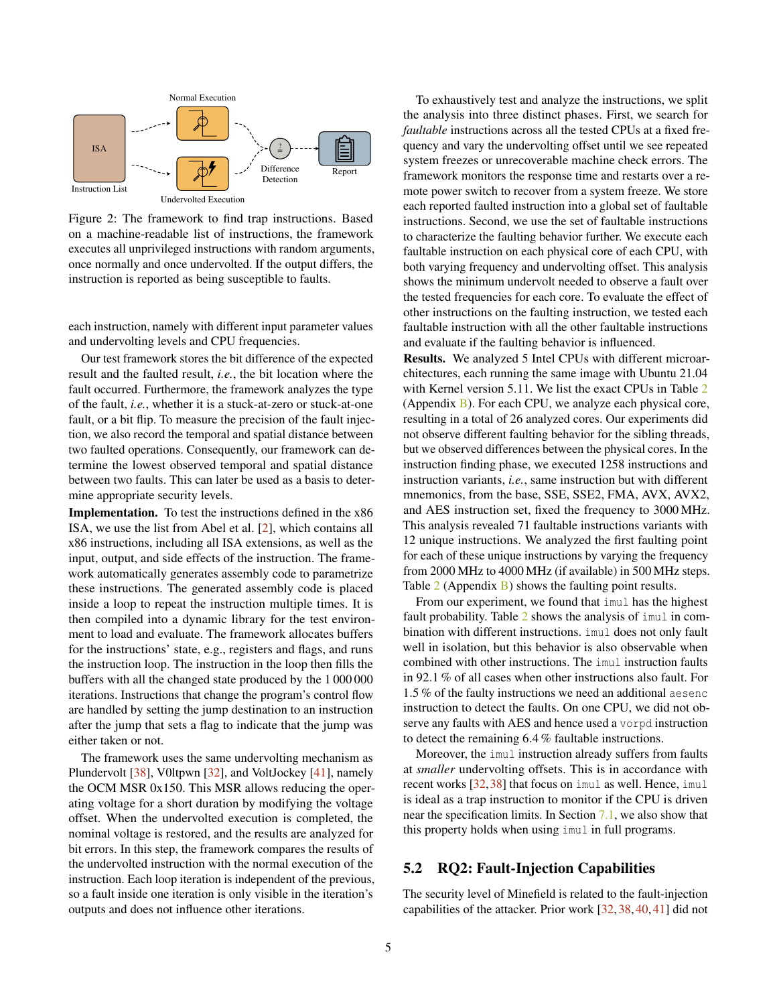<span id="page-4-1"></span>

Figure 2: The framework to find trap instructions. Based on a machine-readable list of instructions, the framework executes all unprivileged instructions with random arguments, once normally and once undervolted. If the output differs, the instruction is reported as being susceptible to faults.

each instruction, namely with different input parameter values and undervolting levels and CPU frequencies.

Our test framework stores the bit difference of the expected result and the faulted result, *i.e.*, the bit location where the fault occurred. Furthermore, the framework analyzes the type of the fault, *i.e.*, whether it is a stuck-at-zero or stuck-at-one fault, or a bit flip. To measure the precision of the fault injection, we also record the temporal and spatial distance between two faulted operations. Consequently, our framework can determine the lowest observed temporal and spatial distance between two faults. This can later be used as a basis to determine appropriate security levels.

Implementation. To test the instructions defined in the x86 ISA, we use the list from Abel et al. [\[2\]](#page-13-3), which contains all x86 instructions, including all ISA extensions, as well as the input, output, and side effects of the instruction. The framework automatically generates assembly code to parametrize these instructions. The generated assembly code is placed inside a loop to repeat the instruction multiple times. It is then compiled into a dynamic library for the test environment to load and evaluate. The framework allocates buffers for the instructions' state, e.g., registers and flags, and runs the instruction loop. The instruction in the loop then fills the buffers with all the changed state produced by the 1 000 000 iterations. Instructions that change the program's control flow are handled by setting the jump destination to an instruction after the jump that sets a flag to indicate that the jump was either taken or not.

The framework uses the same undervolting mechanism as Plundervolt [\[38\]](#page-15-0), V0ltpwn [\[32\]](#page-14-1), and VoltJockey [\[41\]](#page-15-2), namely the OCM MSR 0x150. This MSR allows reducing the operating voltage for a short duration by modifying the voltage offset. When the undervolted execution is completed, the nominal voltage is restored, and the results are analyzed for bit errors. In this step, the framework compares the results of the undervolted instruction with the normal execution of the instruction. Each loop iteration is independent of the previous, so a fault inside one iteration is only visible in the iteration's outputs and does not influence other iterations.

To exhaustively test and analyze the instructions, we split the analysis into three distinct phases. First, we search for *faultable* instructions across all the tested CPUs at a fixed frequency and vary the undervolting offset until we see repeated system freezes or unrecoverable machine check errors. The framework monitors the response time and restarts over a remote power switch to recover from a system freeze. We store each reported faulted instruction into a global set of faultable instructions. Second, we use the set of faultable instructions to characterize the faulting behavior further. We execute each faultable instruction on each physical core of each CPU, with both varying frequency and undervolting offset. This analysis shows the minimum undervolt needed to observe a fault over the tested frequencies for each core. To evaluate the effect of other instructions on the faulting instruction, we tested each faultable instruction with all the other faultable instructions and evaluate if the faulting behavior is influenced.

Results. We analyzed 5 Intel CPUs with different microarchitectures, each running the same image with Ubuntu 21.04 with Kernel version 5.11. We list the exact CPUs in Table [2](#page-16-0) (Appendix [B\)](#page-15-12). For each CPU, we analyze each physical core, resulting in a total of 26 analyzed cores. Our experiments did not observe different faulting behavior for the sibling threads, but we observed differences between the physical cores. In the instruction finding phase, we executed 1258 instructions and instruction variants, *i.e.*, same instruction but with different mnemonics, from the base, SSE, SSE2, FMA, AVX, AVX2, and AES instruction set, fixed the frequency to 3000 MHz. This analysis revealed 71 faultable instructions variants with 12 unique instructions. We analyzed the first faulting point for each of these unique instructions by varying the frequency from 2000 MHz to 4000 MHz (if available) in 500 MHz steps. Table  $2$  (Appendix [B\)](#page-15-12) shows the faulting point results.

From our experiment, we found that imul has the highest fault probability. Table [2](#page-16-0) shows the analysis of imul in combination with different instructions. imul does not only fault well in isolation, but this behavior is also observable when combined with other instructions. The imul instruction faults in 92.1 % of all cases when other instructions also fault. For 1.5 % of the faulty instructions we need an additional aesenc instruction to detect the faults. On one CPU, we did not observe any faults with AES and hence used a vorpd instruction to detect the remaining 6.4 % faultable instructions.

Moreover, the imul instruction already suffers from faults at *smaller* undervolting offsets. This is in accordance with recent works [\[32,](#page-14-1)[38\]](#page-15-0) that focus on imul as well. Hence, imul is ideal as a trap instruction to monitor if the CPU is driven near the specification limits. In Section [7.1,](#page-8-3) we also show that this property holds when using imul in full programs.

## <span id="page-4-0"></span>5.2 RQ2: Fault-Injection Capabilities

The security level of Minefield is related to the fault-injection capabilities of the attacker. Prior work [\[32,](#page-14-1) [38,](#page-15-0) [40,](#page-15-1) [41\]](#page-15-2) did not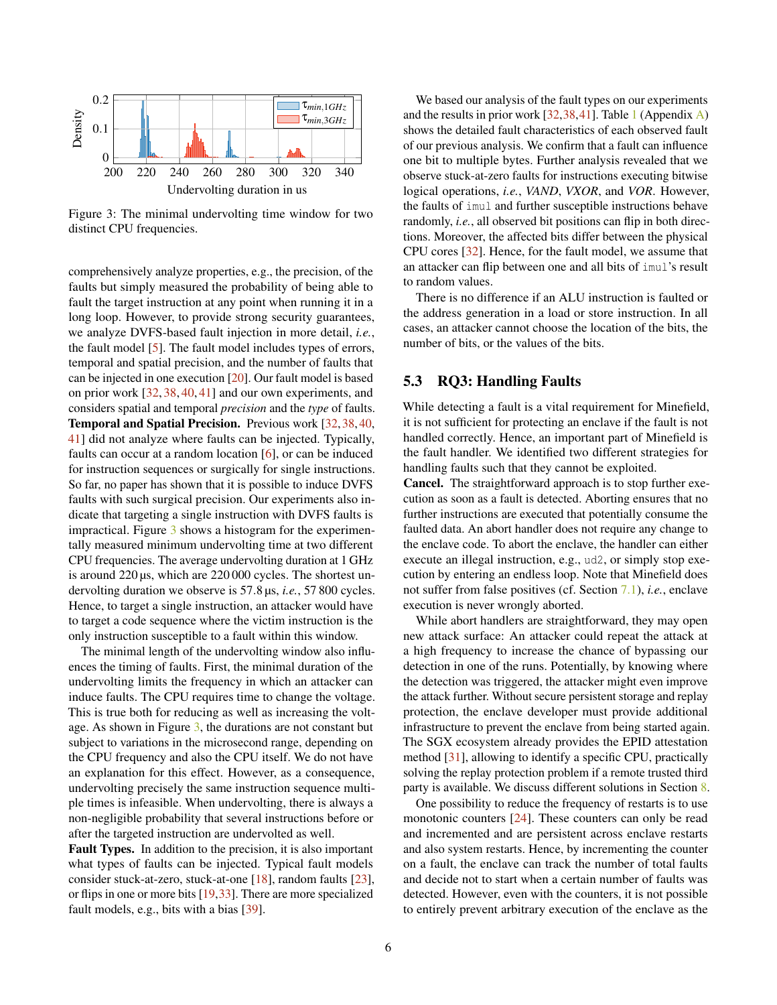<span id="page-5-1"></span>

Figure 3: The minimal undervolting time window for two distinct CPU frequencies.

comprehensively analyze properties, e.g., the precision, of the faults but simply measured the probability of being able to fault the target instruction at any point when running it in a long loop. However, to provide strong security guarantees, we analyze DVFS-based fault injection in more detail, *i.e.*, the fault model [\[5\]](#page-13-4). The fault model includes types of errors, temporal and spatial precision, and the number of faults that can be injected in one execution [\[20\]](#page-14-10). Our fault model is based on prior work [\[32,](#page-14-1) [38,](#page-15-0) [40,](#page-15-1) [41\]](#page-15-2) and our own experiments, and considers spatial and temporal *precision* and the *type* of faults. Temporal and Spatial Precision. Previous work [\[32,](#page-14-1)[38,](#page-15-0)[40,](#page-15-1) [41\]](#page-15-2) did not analyze where faults can be injected. Typically, faults can occur at a random location [\[6\]](#page-13-5), or can be induced for instruction sequences or surgically for single instructions. So far, no paper has shown that it is possible to induce DVFS faults with such surgical precision. Our experiments also indicate that targeting a single instruction with DVFS faults is impractical. Figure [3](#page-5-1) shows a histogram for the experimentally measured minimum undervolting time at two different CPU frequencies. The average undervolting duration at 1 GHz is around 220 µs, which are 220 000 cycles. The shortest undervolting duration we observe is 57.8 µs, *i.e.*, 57 800 cycles. Hence, to target a single instruction, an attacker would have to target a code sequence where the victim instruction is the only instruction susceptible to a fault within this window.

The minimal length of the undervolting window also influences the timing of faults. First, the minimal duration of the undervolting limits the frequency in which an attacker can induce faults. The CPU requires time to change the voltage. This is true both for reducing as well as increasing the voltage. As shown in Figure  $3$ , the durations are not constant but subject to variations in the microsecond range, depending on the CPU frequency and also the CPU itself. We do not have an explanation for this effect. However, as a consequence, undervolting precisely the same instruction sequence multiple times is infeasible. When undervolting, there is always a non-negligible probability that several instructions before or after the targeted instruction are undervolted as well.

Fault Types. In addition to the precision, it is also important what types of faults can be injected. Typical fault models consider stuck-at-zero, stuck-at-one [\[18\]](#page-14-11), random faults [\[23\]](#page-14-12), or flips in one or more bits [\[19,](#page-14-13)[33\]](#page-14-14). There are more specialized fault models, e.g., bits with a bias [\[39\]](#page-15-13).

We based our analysis of the fault types on our experiments and the results in prior work  $[32,38,41]$  $[32,38,41]$  $[32,38,41]$ . Table [1](#page-16-1) (Appendix [A\)](#page-15-14) shows the detailed fault characteristics of each observed fault of our previous analysis. We confirm that a fault can influence one bit to multiple bytes. Further analysis revealed that we observe stuck-at-zero faults for instructions executing bitwise logical operations, *i.e.*, *VAND*, *VXOR*, and *VOR*. However, the faults of imul and further susceptible instructions behave randomly, *i.e.*, all observed bit positions can flip in both directions. Moreover, the affected bits differ between the physical CPU cores [\[32\]](#page-14-1). Hence, for the fault model, we assume that an attacker can flip between one and all bits of imul's result to random values.

There is no difference if an ALU instruction is faulted or the address generation in a load or store instruction. In all cases, an attacker cannot choose the location of the bits, the number of bits, or the values of the bits.

## <span id="page-5-0"></span>5.3 RQ3: Handling Faults

While detecting a fault is a vital requirement for Minefield, it is not sufficient for protecting an enclave if the fault is not handled correctly. Hence, an important part of Minefield is the fault handler. We identified two different strategies for handling faults such that they cannot be exploited.

Cancel. The straightforward approach is to stop further execution as soon as a fault is detected. Aborting ensures that no further instructions are executed that potentially consume the faulted data. An abort handler does not require any change to the enclave code. To abort the enclave, the handler can either execute an illegal instruction, e.g., ud2, or simply stop execution by entering an endless loop. Note that Minefield does not suffer from false positives (cf. Section [7.1\)](#page-8-3), *i.e.*, enclave execution is never wrongly aborted.

While abort handlers are straightforward, they may open new attack surface: An attacker could repeat the attack at a high frequency to increase the chance of bypassing our detection in one of the runs. Potentially, by knowing where the detection was triggered, the attacker might even improve the attack further. Without secure persistent storage and replay protection, the enclave developer must provide additional infrastructure to prevent the enclave from being started again. The SGX ecosystem already provides the EPID attestation method [\[31\]](#page-14-15), allowing to identify a specific CPU, practically solving the replay protection problem if a remote trusted third party is available. We discuss different solutions in Section [8.](#page-12-0)

One possibility to reduce the frequency of restarts is to use monotonic counters [\[24\]](#page-14-16). These counters can only be read and incremented and are persistent across enclave restarts and also system restarts. Hence, by incrementing the counter on a fault, the enclave can track the number of total faults and decide not to start when a certain number of faults was detected. However, even with the counters, it is not possible to entirely prevent arbitrary execution of the enclave as the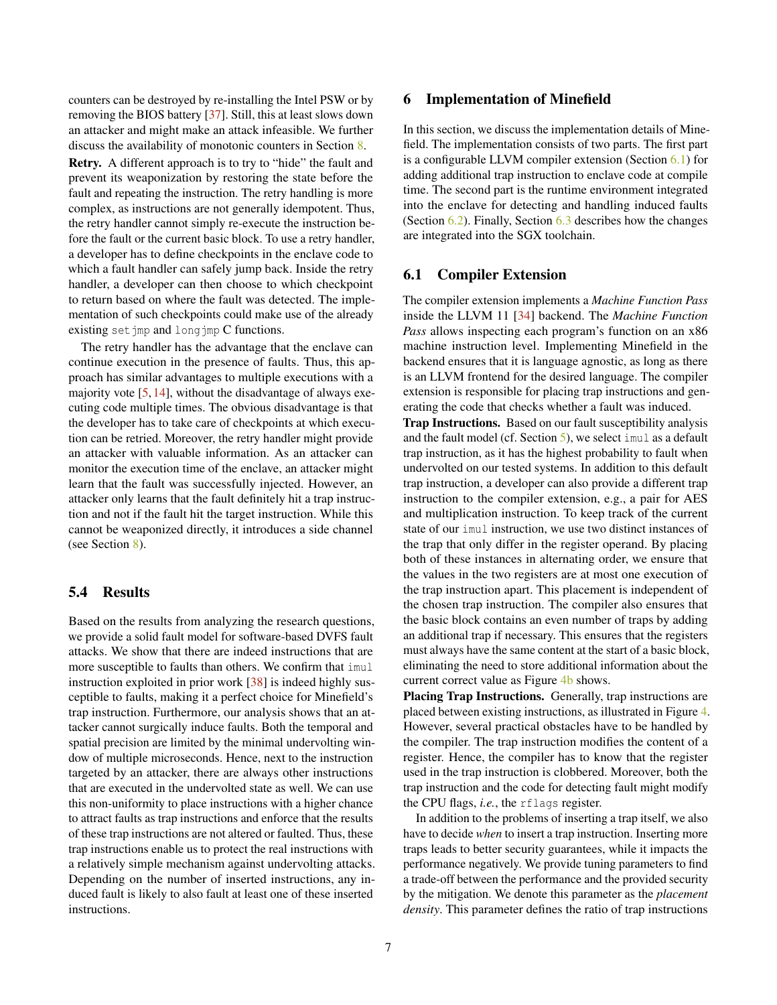counters can be destroyed by re-installing the Intel PSW or by removing the BIOS battery [\[37\]](#page-15-11). Still, this at least slows down an attacker and might make an attack infeasible. We further discuss the availability of monotonic counters in Section [8.](#page-12-0)

Retry. A different approach is to try to "hide" the fault and prevent its weaponization by restoring the state before the fault and repeating the instruction. The retry handling is more complex, as instructions are not generally idempotent. Thus, the retry handler cannot simply re-execute the instruction before the fault or the current basic block. To use a retry handler, a developer has to define checkpoints in the enclave code to which a fault handler can safely jump back. Inside the retry handler, a developer can then choose to which checkpoint to return based on where the fault was detected. The implementation of such checkpoints could make use of the already existing setjmp and longjmp C functions.

The retry handler has the advantage that the enclave can continue execution in the presence of faults. Thus, this approach has similar advantages to multiple executions with a majority vote  $[5, 14]$  $[5, 14]$  $[5, 14]$ , without the disadvantage of always executing code multiple times. The obvious disadvantage is that the developer has to take care of checkpoints at which execution can be retried. Moreover, the retry handler might provide an attacker with valuable information. As an attacker can monitor the execution time of the enclave, an attacker might learn that the fault was successfully injected. However, an attacker only learns that the fault definitely hit a trap instruction and not if the fault hit the target instruction. While this cannot be weaponized directly, it introduces a side channel (see Section [8\)](#page-12-0).

## 5.4 Results

Based on the results from analyzing the research questions, we provide a solid fault model for software-based DVFS fault attacks. We show that there are indeed instructions that are more susceptible to faults than others. We confirm that imul instruction exploited in prior work [\[38\]](#page-15-0) is indeed highly susceptible to faults, making it a perfect choice for Minefield's trap instruction. Furthermore, our analysis shows that an attacker cannot surgically induce faults. Both the temporal and spatial precision are limited by the minimal undervolting window of multiple microseconds. Hence, next to the instruction targeted by an attacker, there are always other instructions that are executed in the undervolted state as well. We can use this non-uniformity to place instructions with a higher chance to attract faults as trap instructions and enforce that the results of these trap instructions are not altered or faulted. Thus, these trap instructions enable us to protect the real instructions with a relatively simple mechanism against undervolting attacks. Depending on the number of inserted instructions, any induced fault is likely to also fault at least one of these inserted instructions.

## <span id="page-6-0"></span>6 Implementation of Minefield

In this section, we discuss the implementation details of Minefield. The implementation consists of two parts. The first part is a configurable LLVM compiler extension (Section [6.1\)](#page-6-1) for adding additional trap instruction to enclave code at compile time. The second part is the runtime environment integrated into the enclave for detecting and handling induced faults (Section [6.2\)](#page-8-2). Finally, Section [6.3](#page-8-4) describes how the changes are integrated into the SGX toolchain.

## <span id="page-6-1"></span>6.1 Compiler Extension

The compiler extension implements a *Machine Function Pass* inside the LLVM 11 [\[34\]](#page-14-18) backend. The *Machine Function Pass* allows inspecting each program's function on an x86 machine instruction level. Implementing Minefield in the backend ensures that it is language agnostic, as long as there is an LLVM frontend for the desired language. The compiler extension is responsible for placing trap instructions and generating the code that checks whether a fault was induced.

Trap Instructions. Based on our fault susceptibility analysis and the fault model (cf. Section [5\)](#page-3-0), we select imul as a default trap instruction, as it has the highest probability to fault when undervolted on our tested systems. In addition to this default trap instruction, a developer can also provide a different trap instruction to the compiler extension, e.g., a pair for AES and multiplication instruction. To keep track of the current state of our imul instruction, we use two distinct instances of the trap that only differ in the register operand. By placing both of these instances in alternating order, we ensure that the values in the two registers are at most one execution of the trap instruction apart. This placement is independent of the chosen trap instruction. The compiler also ensures that the basic block contains an even number of traps by adding an additional trap if necessary. This ensures that the registers must always have the same content at the start of a basic block, eliminating the need to store additional information about the current correct value as Figure [4b](#page-7-0) shows.

Placing Trap Instructions. Generally, trap instructions are placed between existing instructions, as illustrated in Figure [4.](#page-7-0) However, several practical obstacles have to be handled by the compiler. The trap instruction modifies the content of a register. Hence, the compiler has to know that the register used in the trap instruction is clobbered. Moreover, both the trap instruction and the code for detecting fault might modify the CPU flags, *i.e.*, the rflags register.

In addition to the problems of inserting a trap itself, we also have to decide *when* to insert a trap instruction. Inserting more traps leads to better security guarantees, while it impacts the performance negatively. We provide tuning parameters to find a trade-off between the performance and the provided security by the mitigation. We denote this parameter as the *placement density*. This parameter defines the ratio of trap instructions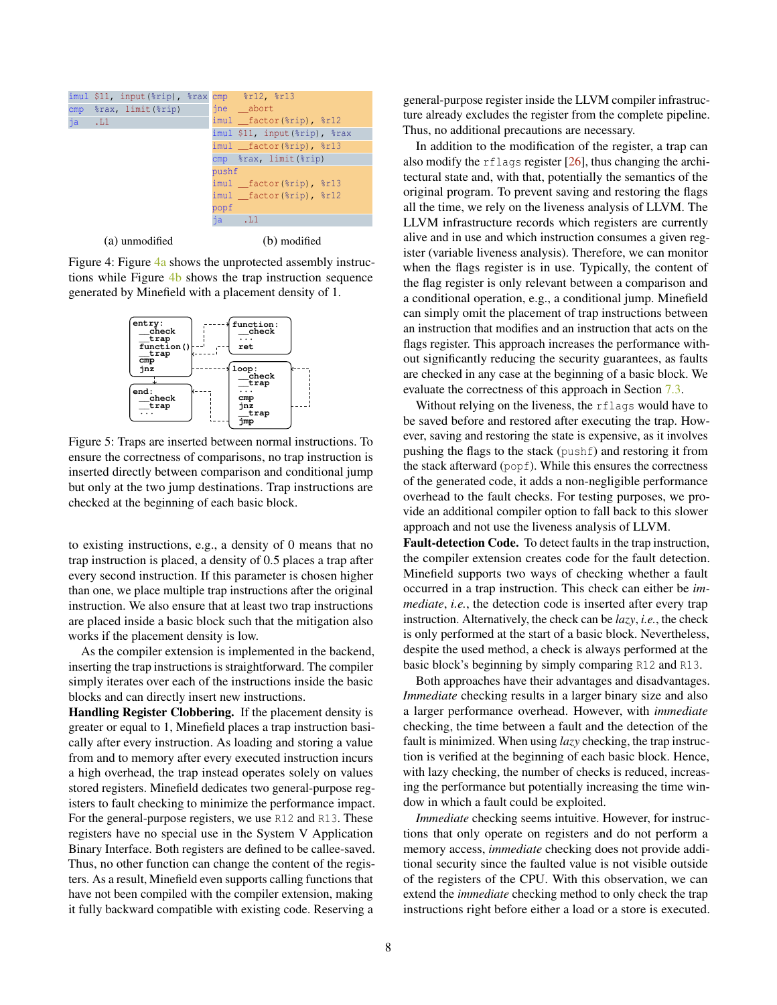<span id="page-7-0"></span>

(a) unmodified

(b) modified

Figure 4: Figure [4a](#page-7-0) shows the unprotected assembly instructions while Figure [4b](#page-7-0) shows the trap instruction sequence generated by Minefield with a placement density of 1.

<span id="page-7-1"></span>

Figure 5: Traps are inserted between normal instructions. To ensure the correctness of comparisons, no trap instruction is inserted directly between comparison and conditional jump but only at the two jump destinations. Trap instructions are checked at the beginning of each basic block.

to existing instructions, e.g., a density of 0 means that no trap instruction is placed, a density of 0.5 places a trap after every second instruction. If this parameter is chosen higher than one, we place multiple trap instructions after the original instruction. We also ensure that at least two trap instructions are placed inside a basic block such that the mitigation also works if the placement density is low.

As the compiler extension is implemented in the backend, inserting the trap instructions is straightforward. The compiler simply iterates over each of the instructions inside the basic blocks and can directly insert new instructions.

Handling Register Clobbering. If the placement density is greater or equal to 1, Minefield places a trap instruction basically after every instruction. As loading and storing a value from and to memory after every executed instruction incurs a high overhead, the trap instead operates solely on values stored registers. Minefield dedicates two general-purpose registers to fault checking to minimize the performance impact. For the general-purpose registers, we use R12 and R13. These registers have no special use in the System V Application Binary Interface. Both registers are defined to be callee-saved. Thus, no other function can change the content of the registers. As a result, Minefield even supports calling functions that have not been compiled with the compiler extension, making it fully backward compatible with existing code. Reserving a

general-purpose register inside the LLVM compiler infrastructure already excludes the register from the complete pipeline. Thus, no additional precautions are necessary.

In addition to the modification of the register, a trap can also modify the rflags register [\[26\]](#page-14-19), thus changing the architectural state and, with that, potentially the semantics of the original program. To prevent saving and restoring the flags all the time, we rely on the liveness analysis of LLVM. The LLVM infrastructure records which registers are currently alive and in use and which instruction consumes a given register (variable liveness analysis). Therefore, we can monitor when the flags register is in use. Typically, the content of the flag register is only relevant between a comparison and a conditional operation, e.g., a conditional jump. Minefield can simply omit the placement of trap instructions between an instruction that modifies and an instruction that acts on the flags register. This approach increases the performance without significantly reducing the security guarantees, as faults are checked in any case at the beginning of a basic block. We evaluate the correctness of this approach in Section [7.3.](#page-11-0)

Without relying on the liveness, the rflags would have to be saved before and restored after executing the trap. However, saving and restoring the state is expensive, as it involves pushing the flags to the stack (pushf) and restoring it from the stack afterward (popf). While this ensures the correctness of the generated code, it adds a non-negligible performance overhead to the fault checks. For testing purposes, we provide an additional compiler option to fall back to this slower approach and not use the liveness analysis of LLVM.

Fault-detection Code. To detect faults in the trap instruction, the compiler extension creates code for the fault detection. Minefield supports two ways of checking whether a fault occurred in a trap instruction. This check can either be *immediate*, *i.e.*, the detection code is inserted after every trap instruction. Alternatively, the check can be *lazy*, *i.e.*, the check is only performed at the start of a basic block. Nevertheless, despite the used method, a check is always performed at the basic block's beginning by simply comparing R12 and R13.

Both approaches have their advantages and disadvantages. *Immediate* checking results in a larger binary size and also a larger performance overhead. However, with *immediate* checking, the time between a fault and the detection of the fault is minimized. When using *lazy* checking, the trap instruction is verified at the beginning of each basic block. Hence, with lazy checking, the number of checks is reduced, increasing the performance but potentially increasing the time window in which a fault could be exploited.

*Immediate* checking seems intuitive. However, for instructions that only operate on registers and do not perform a memory access, *immediate* checking does not provide additional security since the faulted value is not visible outside of the registers of the CPU. With this observation, we can extend the *immediate* checking method to only check the trap instructions right before either a load or a store is executed.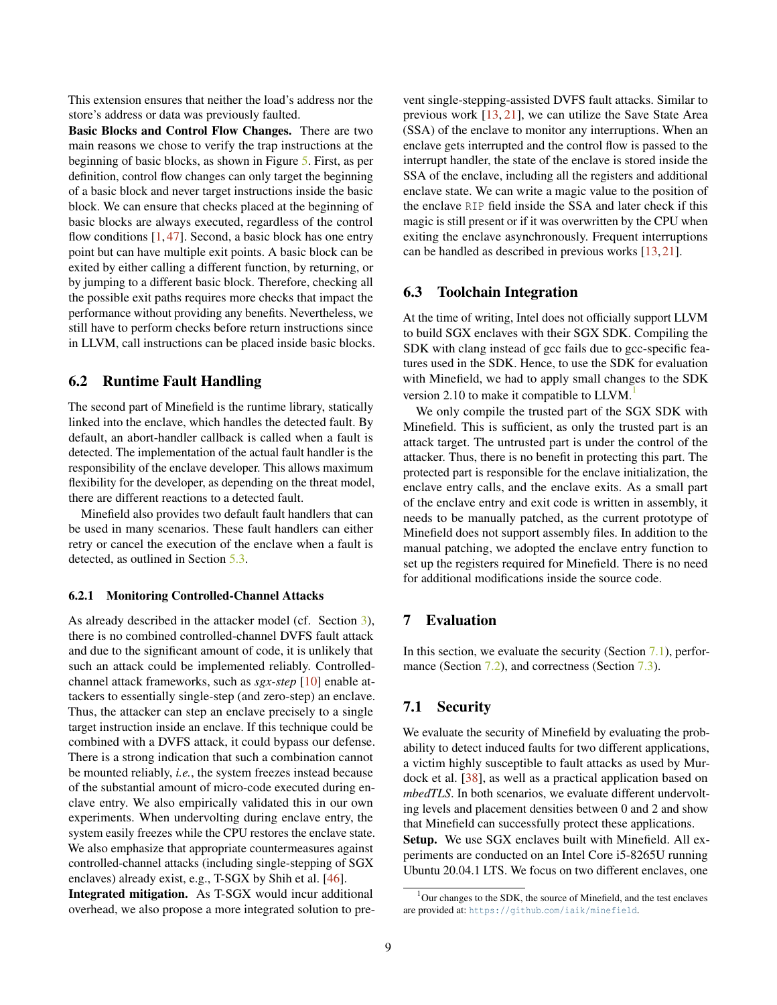This extension ensures that neither the load's address nor the store's address or data was previously faulted.

Basic Blocks and Control Flow Changes. There are two main reasons we chose to verify the trap instructions at the beginning of basic blocks, as shown in Figure [5.](#page-7-1) First, as per definition, control flow changes can only target the beginning of a basic block and never target instructions inside the basic block. We can ensure that checks placed at the beginning of basic blocks are always executed, regardless of the control flow conditions  $[1, 47]$  $[1, 47]$  $[1, 47]$ . Second, a basic block has one entry point but can have multiple exit points. A basic block can be exited by either calling a different function, by returning, or by jumping to a different basic block. Therefore, checking all the possible exit paths requires more checks that impact the performance without providing any benefits. Nevertheless, we still have to perform checks before return instructions since in LLVM, call instructions can be placed inside basic blocks.

## <span id="page-8-2"></span>6.2 Runtime Fault Handling

The second part of Minefield is the runtime library, statically linked into the enclave, which handles the detected fault. By default, an abort-handler callback is called when a fault is detected. The implementation of the actual fault handler is the responsibility of the enclave developer. This allows maximum flexibility for the developer, as depending on the threat model, there are different reactions to a detected fault.

Minefield also provides two default fault handlers that can be used in many scenarios. These fault handlers can either retry or cancel the execution of the enclave when a fault is detected, as outlined in Section [5.3.](#page-5-0)

#### <span id="page-8-1"></span>6.2.1 Monitoring Controlled-Channel Attacks

As already described in the attacker model (cf. Section [3\)](#page-2-0), there is no combined controlled-channel DVFS fault attack and due to the significant amount of code, it is unlikely that such an attack could be implemented reliably. Controlledchannel attack frameworks, such as *sgx-step* [\[10\]](#page-14-7) enable attackers to essentially single-step (and zero-step) an enclave. Thus, the attacker can step an enclave precisely to a single target instruction inside an enclave. If this technique could be combined with a DVFS attack, it could bypass our defense. There is a strong indication that such a combination cannot be mounted reliably, *i.e.*, the system freezes instead because of the substantial amount of micro-code executed during enclave entry. We also empirically validated this in our own experiments. When undervolting during enclave entry, the system easily freezes while the CPU restores the enclave state. We also emphasize that appropriate countermeasures against controlled-channel attacks (including single-stepping of SGX enclaves) already exist, e.g., T-SGX by Shih et al. [\[46\]](#page-15-10).

Integrated mitigation. As T-SGX would incur additional overhead, we also propose a more integrated solution to prevent single-stepping-assisted DVFS fault attacks. Similar to previous work [\[13,](#page-14-8) [21\]](#page-14-9), we can utilize the Save State Area (SSA) of the enclave to monitor any interruptions. When an enclave gets interrupted and the control flow is passed to the interrupt handler, the state of the enclave is stored inside the SSA of the enclave, including all the registers and additional enclave state. We can write a magic value to the position of the enclave RIP field inside the SSA and later check if this magic is still present or if it was overwritten by the CPU when exiting the enclave asynchronously. Frequent interruptions can be handled as described in previous works [\[13,](#page-14-8) [21\]](#page-14-9).

# <span id="page-8-4"></span>6.3 Toolchain Integration

At the time of writing, Intel does not officially support LLVM to build SGX enclaves with their SGX SDK. Compiling the SDK with clang instead of gcc fails due to gcc-specific features used in the SDK. Hence, to use the SDK for evaluation with Minefield, we had to apply small changes to the SDK version 2.[1](#page-8-5)0 to make it compatible to LLVM.

We only compile the trusted part of the SGX SDK with Minefield. This is sufficient, as only the trusted part is an attack target. The untrusted part is under the control of the attacker. Thus, there is no benefit in protecting this part. The protected part is responsible for the enclave initialization, the enclave entry calls, and the enclave exits. As a small part of the enclave entry and exit code is written in assembly, it needs to be manually patched, as the current prototype of Minefield does not support assembly files. In addition to the manual patching, we adopted the enclave entry function to set up the registers required for Minefield. There is no need for additional modifications inside the source code.

# <span id="page-8-0"></span>7 Evaluation

In this section, we evaluate the security (Section [7.1\)](#page-8-3), perfor-mance (Section [7.2\)](#page-10-0), and correctness (Section [7.3\)](#page-11-0).

# <span id="page-8-3"></span>7.1 Security

We evaluate the security of Minefield by evaluating the probability to detect induced faults for two different applications, a victim highly susceptible to fault attacks as used by Murdock et al. [\[38\]](#page-15-0), as well as a practical application based on *mbedTLS*. In both scenarios, we evaluate different undervolting levels and placement densities between 0 and 2 and show that Minefield can successfully protect these applications. Setup. We use SGX enclaves built with Minefield. All experiments are conducted on an Intel Core i5-8265U running Ubuntu 20.04.1 LTS. We focus on two different enclaves, one

<span id="page-8-5"></span> $1$ Our changes to the SDK, the source of Minefield, and the test enclaves are provided at: https://github.[com/iaik/minefield](https://github.com/iaik/minefield).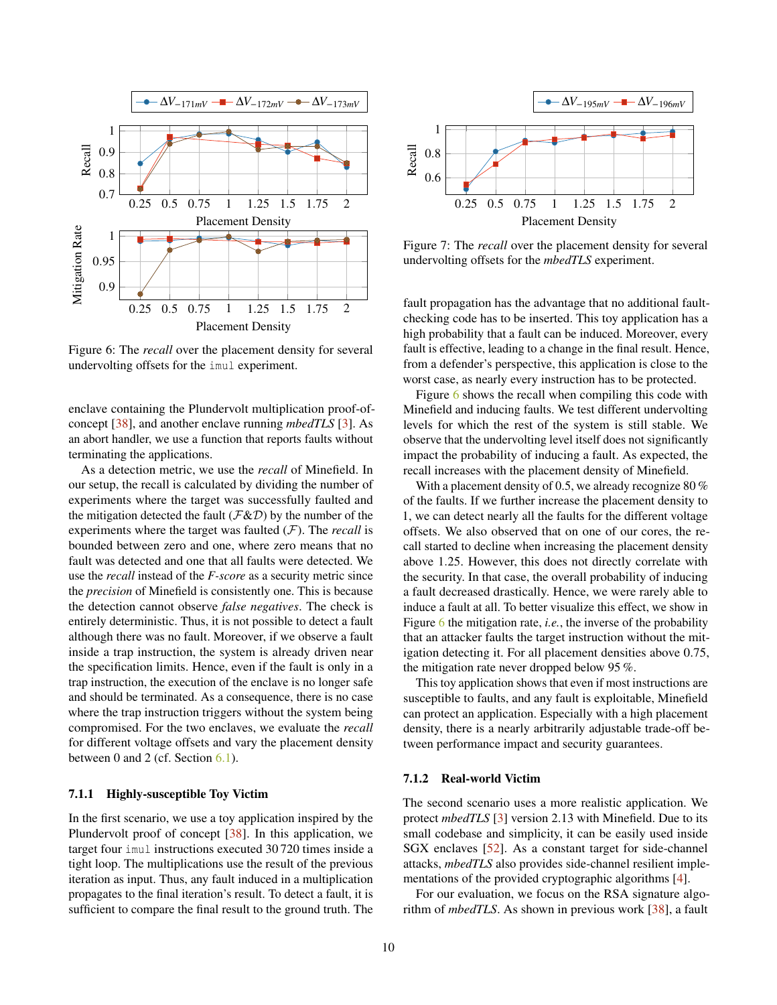<span id="page-9-0"></span>

Figure 6: The *recall* over the placement density for several undervolting offsets for the imul experiment.

enclave containing the Plundervolt multiplication proof-ofconcept [\[38\]](#page-15-0), and another enclave running *mbedTLS* [\[3\]](#page-13-7). As an abort handler, we use a function that reports faults without terminating the applications.

As a detection metric, we use the *recall* of Minefield. In our setup, the recall is calculated by dividing the number of experiments where the target was successfully faulted and the mitigation detected the fault ( $\mathcal{F}\&\mathcal{D}$ ) by the number of the experiments where the target was faulted (F). The *recall* is bounded between zero and one, where zero means that no fault was detected and one that all faults were detected. We use the *recall* instead of the *F-score* as a security metric since the *precision* of Minefield is consistently one. This is because the detection cannot observe *false negatives*. The check is entirely deterministic. Thus, it is not possible to detect a fault although there was no fault. Moreover, if we observe a fault inside a trap instruction, the system is already driven near the specification limits. Hence, even if the fault is only in a trap instruction, the execution of the enclave is no longer safe and should be terminated. As a consequence, there is no case where the trap instruction triggers without the system being compromised. For the two enclaves, we evaluate the *recall* for different voltage offsets and vary the placement density between 0 and 2 (cf. Section [6.1\)](#page-6-1).

## 7.1.1 Highly-susceptible Toy Victim

In the first scenario, we use a toy application inspired by the Plundervolt proof of concept [\[38\]](#page-15-0). In this application, we target four imul instructions executed 30 720 times inside a tight loop. The multiplications use the result of the previous iteration as input. Thus, any fault induced in a multiplication propagates to the final iteration's result. To detect a fault, it is sufficient to compare the final result to the ground truth. The

<span id="page-9-1"></span>

Figure 7: The *recall* over the placement density for several undervolting offsets for the *mbedTLS* experiment.

fault propagation has the advantage that no additional faultchecking code has to be inserted. This toy application has a high probability that a fault can be induced. Moreover, every fault is effective, leading to a change in the final result. Hence, from a defender's perspective, this application is close to the worst case, as nearly every instruction has to be protected.

Figure [6](#page-9-0) shows the recall when compiling this code with Minefield and inducing faults. We test different undervolting levels for which the rest of the system is still stable. We observe that the undervolting level itself does not significantly impact the probability of inducing a fault. As expected, the recall increases with the placement density of Minefield.

With a placement density of 0.5, we already recognize 80 % of the faults. If we further increase the placement density to 1, we can detect nearly all the faults for the different voltage offsets. We also observed that on one of our cores, the recall started to decline when increasing the placement density above 1.25. However, this does not directly correlate with the security. In that case, the overall probability of inducing a fault decreased drastically. Hence, we were rarely able to induce a fault at all. To better visualize this effect, we show in Figure [6](#page-9-0) the mitigation rate, *i.e.*, the inverse of the probability that an attacker faults the target instruction without the mitigation detecting it. For all placement densities above 0.75, the mitigation rate never dropped below 95 %.

This toy application shows that even if most instructions are susceptible to faults, and any fault is exploitable, Minefield can protect an application. Especially with a high placement density, there is a nearly arbitrarily adjustable trade-off between performance impact and security guarantees.

#### 7.1.2 Real-world Victim

The second scenario uses a more realistic application. We protect *mbedTLS* [\[3\]](#page-13-7) version 2.13 with Minefield. Due to its small codebase and simplicity, it can be easily used inside SGX enclaves [\[52\]](#page-15-16). As a constant target for side-channel attacks, *mbedTLS* also provides side-channel resilient implementations of the provided cryptographic algorithms [\[4\]](#page-13-8).

For our evaluation, we focus on the RSA signature algorithm of *mbedTLS*. As shown in previous work [\[38\]](#page-15-0), a fault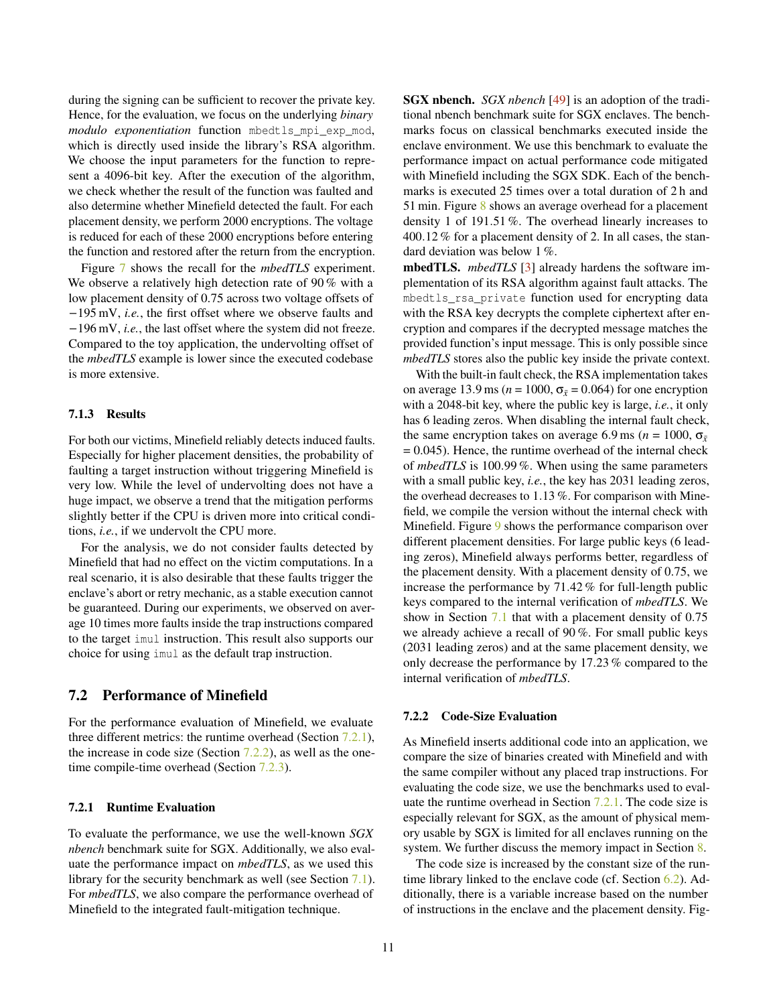during the signing can be sufficient to recover the private key. Hence, for the evaluation, we focus on the underlying *binary modulo exponentiation* function mbedtls\_mpi\_exp\_mod, which is directly used inside the library's RSA algorithm. We choose the input parameters for the function to represent a 4096-bit key. After the execution of the algorithm, we check whether the result of the function was faulted and also determine whether Minefield detected the fault. For each placement density, we perform 2000 encryptions. The voltage is reduced for each of these 2000 encryptions before entering the function and restored after the return from the encryption.

Figure [7](#page-9-1) shows the recall for the *mbedTLS* experiment. We observe a relatively high detection rate of 90% with a low placement density of 0.75 across two voltage offsets of −195 mV, *i.e.*, the first offset where we observe faults and −196 mV, *i.e.*, the last offset where the system did not freeze. Compared to the toy application, the undervolting offset of the *mbedTLS* example is lower since the executed codebase is more extensive.

#### 7.1.3 Results

For both our victims, Minefield reliably detects induced faults. Especially for higher placement densities, the probability of faulting a target instruction without triggering Minefield is very low. While the level of undervolting does not have a huge impact, we observe a trend that the mitigation performs slightly better if the CPU is driven more into critical conditions, *i.e.*, if we undervolt the CPU more.

For the analysis, we do not consider faults detected by Minefield that had no effect on the victim computations. In a real scenario, it is also desirable that these faults trigger the enclave's abort or retry mechanic, as a stable execution cannot be guaranteed. During our experiments, we observed on average 10 times more faults inside the trap instructions compared to the target imul instruction. This result also supports our choice for using imul as the default trap instruction.

## <span id="page-10-0"></span>7.2 Performance of Minefield

For the performance evaluation of Minefield, we evaluate three different metrics: the runtime overhead (Section [7.2.1\)](#page-10-1), the increase in code size (Section  $7.2.2$ ), as well as the one-time compile-time overhead (Section [7.2.3\)](#page-11-1).

#### <span id="page-10-1"></span>7.2.1 Runtime Evaluation

To evaluate the performance, we use the well-known *SGX nbench* benchmark suite for SGX. Additionally, we also evaluate the performance impact on *mbedTLS*, as we used this library for the security benchmark as well (see Section [7.1\)](#page-8-3). For *mbedTLS*, we also compare the performance overhead of Minefield to the integrated fault-mitigation technique.

SGX nbench. *SGX nbench* [\[49\]](#page-15-17) is an adoption of the traditional nbench benchmark suite for SGX enclaves. The benchmarks focus on classical benchmarks executed inside the enclave environment. We use this benchmark to evaluate the performance impact on actual performance code mitigated with Minefield including the SGX SDK. Each of the benchmarks is executed 25 times over a total duration of 2 h and 51 min. Figure [8](#page-11-2) shows an average overhead for a placement density 1 of 191.51 %. The overhead linearly increases to 400.12 % for a placement density of 2. In all cases, the standard deviation was below 1 %.

mbedTLS. *mbedTLS* [\[3\]](#page-13-7) already hardens the software implementation of its RSA algorithm against fault attacks. The mbedtls\_rsa\_private function used for encrypting data with the RSA key decrypts the complete ciphertext after encryption and compares if the decrypted message matches the provided function's input message. This is only possible since *mbedTLS* stores also the public key inside the private context.

With the built-in fault check, the RSA implementation takes on average 13.9 ms ( $n = 1000$ ,  $\sigma_{\bar{x}} = 0.064$ ) for one encryption with a 2048-bit key, where the public key is large, *i.e.*, it only has 6 leading zeros. When disabling the internal fault check, the same encryption takes on average 6.9 ms ( $n = 1000$ ,  $\sigma_{\bar{x}}$  $= 0.045$ ). Hence, the runtime overhead of the internal check of *mbedTLS* is 100.99 %. When using the same parameters with a small public key, *i.e.*, the key has 2031 leading zeros, the overhead decreases to 1.13 %. For comparison with Minefield, we compile the version without the internal check with Minefield. Figure [9](#page-11-3) shows the performance comparison over different placement densities. For large public keys (6 leading zeros), Minefield always performs better, regardless of the placement density. With a placement density of 0.75, we increase the performance by 71.42 % for full-length public keys compared to the internal verification of *mbedTLS*. We show in Section [7.1](#page-8-3) that with a placement density of 0.75 we already achieve a recall of 90 %. For small public keys (2031 leading zeros) and at the same placement density, we only decrease the performance by 17.23 % compared to the internal verification of *mbedTLS*.

#### <span id="page-10-2"></span>7.2.2 Code-Size Evaluation

As Minefield inserts additional code into an application, we compare the size of binaries created with Minefield and with the same compiler without any placed trap instructions. For evaluating the code size, we use the benchmarks used to evaluate the runtime overhead in Section [7.2.1.](#page-10-1) The code size is especially relevant for SGX, as the amount of physical memory usable by SGX is limited for all enclaves running on the system. We further discuss the memory impact in Section [8.](#page-12-0)

The code size is increased by the constant size of the runtime library linked to the enclave code (cf. Section [6.2\)](#page-8-2). Additionally, there is a variable increase based on the number of instructions in the enclave and the placement density. Fig-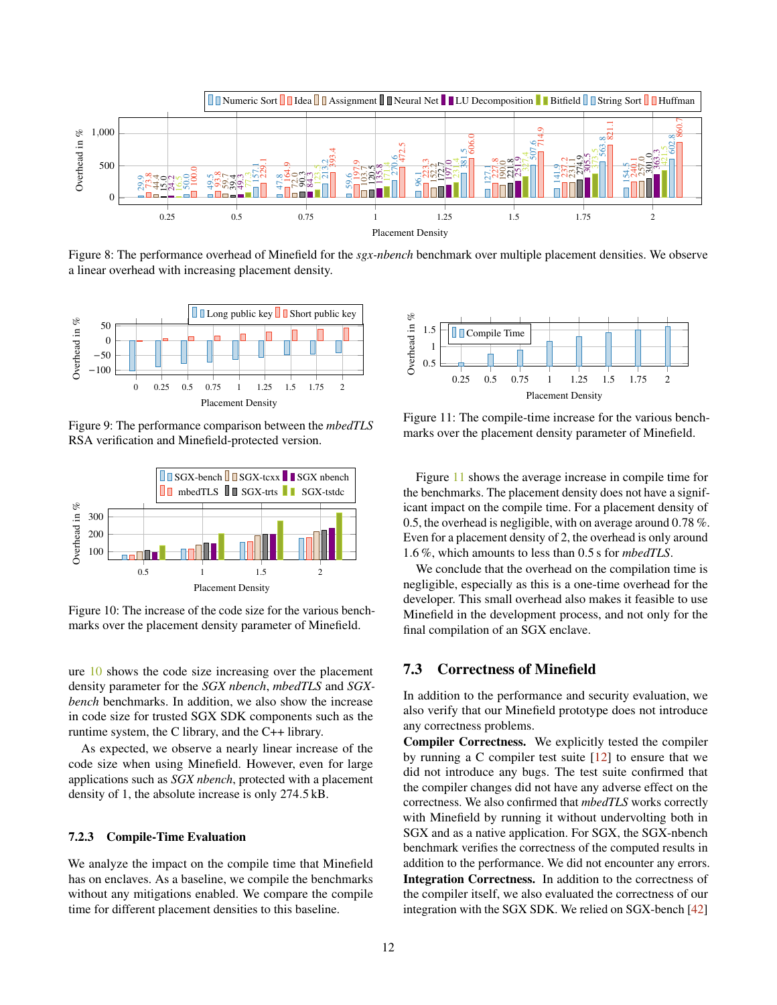<span id="page-11-2"></span>

Figure 8: The performance overhead of Minefield for the *sgx-nbench* benchmark over multiple placement densities. We observe a linear overhead with increasing placement density.

<span id="page-11-3"></span>

Figure 9: The performance comparison between the *mbedTLS* RSA verification and Minefield-protected version.

<span id="page-11-4"></span>

Figure 10: The increase of the code size for the various benchmarks over the placement density parameter of Minefield.

ure [10](#page-11-4) shows the code size increasing over the placement density parameter for the *SGX nbench*, *mbedTLS* and *SGXbench* benchmarks. In addition, we also show the increase in code size for trusted SGX SDK components such as the runtime system, the C library, and the C++ library.

As expected, we observe a nearly linear increase of the code size when using Minefield. However, even for large applications such as *SGX nbench*, protected with a placement density of 1, the absolute increase is only 274.5 kB.

#### <span id="page-11-1"></span>7.2.3 Compile-Time Evaluation

We analyze the impact on the compile time that Minefield has on enclaves. As a baseline, we compile the benchmarks without any mitigations enabled. We compare the compile time for different placement densities to this baseline.

<span id="page-11-5"></span>

Figure 11: The compile-time increase for the various benchmarks over the placement density parameter of Minefield.

Figure [11](#page-11-5) shows the average increase in compile time for the benchmarks. The placement density does not have a significant impact on the compile time. For a placement density of 0.5, the overhead is negligible, with on average around 0.78 %. Even for a placement density of 2, the overhead is only around 1.6 %, which amounts to less than 0.5 s for *mbedTLS*.

We conclude that the overhead on the compilation time is negligible, especially as this is a one-time overhead for the developer. This small overhead also makes it feasible to use Minefield in the development process, and not only for the final compilation of an SGX enclave.

## <span id="page-11-0"></span>7.3 Correctness of Minefield

In addition to the performance and security evaluation, we also verify that our Minefield prototype does not introduce any correctness problems.

Compiler Correctness. We explicitly tested the compiler by running a C compiler test suite  $[12]$  to ensure that we did not introduce any bugs. The test suite confirmed that the compiler changes did not have any adverse effect on the correctness. We also confirmed that *mbedTLS* works correctly with Minefield by running it without undervolting both in SGX and as a native application. For SGX, the SGX-nbench benchmark verifies the correctness of the computed results in addition to the performance. We did not encounter any errors. Integration Correctness. In addition to the correctness of the compiler itself, we also evaluated the correctness of our integration with the SGX SDK. We relied on SGX-bench [\[42\]](#page-15-18)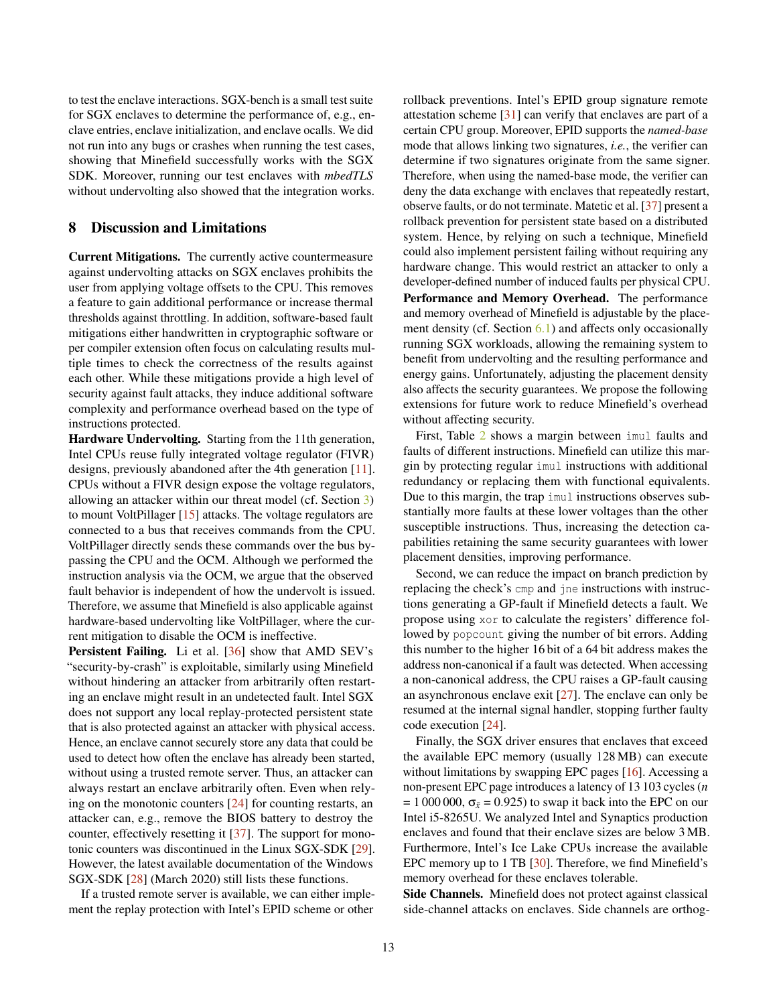to test the enclave interactions. SGX-bench is a small test suite for SGX enclaves to determine the performance of, e.g., enclave entries, enclave initialization, and enclave ocalls. We did not run into any bugs or crashes when running the test cases, showing that Minefield successfully works with the SGX SDK. Moreover, running our test enclaves with *mbedTLS* without undervolting also showed that the integration works.

### <span id="page-12-0"></span>8 Discussion and Limitations

Current Mitigations. The currently active countermeasure against undervolting attacks on SGX enclaves prohibits the user from applying voltage offsets to the CPU. This removes a feature to gain additional performance or increase thermal thresholds against throttling. In addition, software-based fault mitigations either handwritten in cryptographic software or per compiler extension often focus on calculating results multiple times to check the correctness of the results against each other. While these mitigations provide a high level of security against fault attacks, they induce additional software complexity and performance overhead based on the type of instructions protected.

Hardware Undervolting. Starting from the 11th generation, Intel CPUs reuse fully integrated voltage regulator (FIVR) designs, previously abandoned after the 4th generation [\[11\]](#page-14-2). CPUs without a FIVR design expose the voltage regulators, allowing an attacker within our threat model (cf. Section [3\)](#page-2-0) to mount VoltPillager [\[15\]](#page-14-0) attacks. The voltage regulators are connected to a bus that receives commands from the CPU. VoltPillager directly sends these commands over the bus bypassing the CPU and the OCM. Although we performed the instruction analysis via the OCM, we argue that the observed fault behavior is independent of how the undervolt is issued. Therefore, we assume that Minefield is also applicable against hardware-based undervolting like VoltPillager, where the current mitigation to disable the OCM is ineffective.

Persistent Failing. Li et al. [\[36\]](#page-15-19) show that AMD SEV's "security-by-crash" is exploitable, similarly using Minefield without hindering an attacker from arbitrarily often restarting an enclave might result in an undetected fault. Intel SGX does not support any local replay-protected persistent state that is also protected against an attacker with physical access. Hence, an enclave cannot securely store any data that could be used to detect how often the enclave has already been started, without using a trusted remote server. Thus, an attacker can always restart an enclave arbitrarily often. Even when relying on the monotonic counters [\[24\]](#page-14-16) for counting restarts, an attacker can, e.g., remove the BIOS battery to destroy the counter, effectively resetting it [\[37\]](#page-15-11). The support for monotonic counters was discontinued in the Linux SGX-SDK [\[29\]](#page-14-21). However, the latest available documentation of the Windows SGX-SDK [\[28\]](#page-14-22) (March 2020) still lists these functions.

If a trusted remote server is available, we can either implement the replay protection with Intel's EPID scheme or other

rollback preventions. Intel's EPID group signature remote attestation scheme [\[31\]](#page-14-15) can verify that enclaves are part of a certain CPU group. Moreover, EPID supports the *named-base* mode that allows linking two signatures, *i.e.*, the verifier can determine if two signatures originate from the same signer. Therefore, when using the named-base mode, the verifier can deny the data exchange with enclaves that repeatedly restart, observe faults, or do not terminate. Matetic et al. [\[37\]](#page-15-11) present a rollback prevention for persistent state based on a distributed system. Hence, by relying on such a technique, Minefield could also implement persistent failing without requiring any hardware change. This would restrict an attacker to only a developer-defined number of induced faults per physical CPU. Performance and Memory Overhead. The performance and memory overhead of Minefield is adjustable by the place-ment density (cf. Section [6.1\)](#page-6-1) and affects only occasionally running SGX workloads, allowing the remaining system to benefit from undervolting and the resulting performance and energy gains. Unfortunately, adjusting the placement density also affects the security guarantees. We propose the following extensions for future work to reduce Minefield's overhead without affecting security.

First, Table [2](#page-16-0) shows a margin between imul faults and faults of different instructions. Minefield can utilize this margin by protecting regular imul instructions with additional redundancy or replacing them with functional equivalents. Due to this margin, the trap imul instructions observes substantially more faults at these lower voltages than the other susceptible instructions. Thus, increasing the detection capabilities retaining the same security guarantees with lower placement densities, improving performance.

Second, we can reduce the impact on branch prediction by replacing the check's cmp and jne instructions with instructions generating a GP-fault if Minefield detects a fault. We propose using xor to calculate the registers' difference followed by popcount giving the number of bit errors. Adding this number to the higher 16 bit of a 64 bit address makes the address non-canonical if a fault was detected. When accessing a non-canonical address, the CPU raises a GP-fault causing an asynchronous enclave exit [\[27\]](#page-14-6). The enclave can only be resumed at the internal signal handler, stopping further faulty code execution [\[24\]](#page-14-16).

Finally, the SGX driver ensures that enclaves that exceed the available EPC memory (usually 128 MB) can execute without limitations by swapping EPC pages [\[16\]](#page-14-5). Accessing a non-present EPC page introduces a latency of 13 103 cycles (*n*  $= 1000000$ ,  $\sigma_{\bar{x}} = 0.925$ ) to swap it back into the EPC on our Intel i5-8265U. We analyzed Intel and Synaptics production enclaves and found that their enclave sizes are below 3 MB. Furthermore, Intel's Ice Lake CPUs increase the available EPC memory up to 1 TB [\[30\]](#page-14-23). Therefore, we find Minefield's memory overhead for these enclaves tolerable.

Side Channels. Minefield does not protect against classical side-channel attacks on enclaves. Side channels are orthog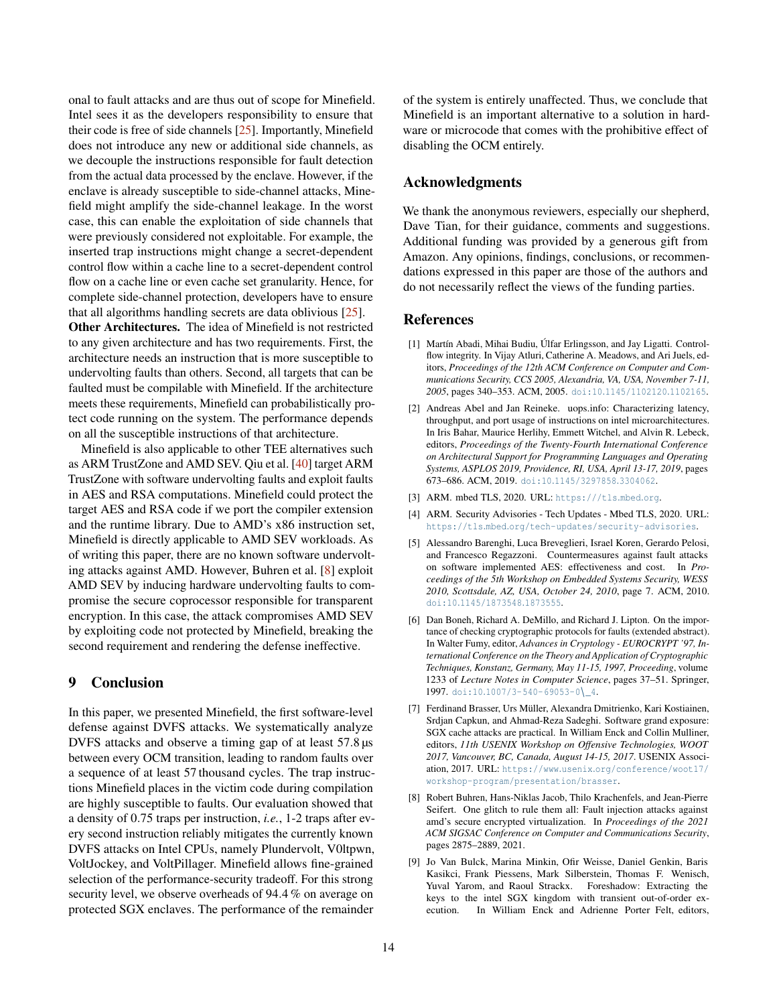onal to fault attacks and are thus out of scope for Minefield. Intel sees it as the developers responsibility to ensure that their code is free of side channels [\[25\]](#page-14-24). Importantly, Minefield does not introduce any new or additional side channels, as we decouple the instructions responsible for fault detection from the actual data processed by the enclave. However, if the enclave is already susceptible to side-channel attacks, Minefield might amplify the side-channel leakage. In the worst case, this can enable the exploitation of side channels that were previously considered not exploitable. For example, the inserted trap instructions might change a secret-dependent control flow within a cache line to a secret-dependent control flow on a cache line or even cache set granularity. Hence, for complete side-channel protection, developers have to ensure that all algorithms handling secrets are data oblivious [\[25\]](#page-14-24).

Other Architectures. The idea of Minefield is not restricted to any given architecture and has two requirements. First, the architecture needs an instruction that is more susceptible to undervolting faults than others. Second, all targets that can be faulted must be compilable with Minefield. If the architecture meets these requirements, Minefield can probabilistically protect code running on the system. The performance depends on all the susceptible instructions of that architecture.

Minefield is also applicable to other TEE alternatives such as ARM TrustZone and AMD SEV. Qiu et al. [\[40\]](#page-15-1) target ARM TrustZone with software undervolting faults and exploit faults in AES and RSA computations. Minefield could protect the target AES and RSA code if we port the compiler extension and the runtime library. Due to AMD's x86 instruction set, Minefield is directly applicable to AMD SEV workloads. As of writing this paper, there are no known software undervolting attacks against AMD. However, Buhren et al. [\[8\]](#page-13-9) exploit AMD SEV by inducing hardware undervolting faults to compromise the secure coprocessor responsible for transparent encryption. In this case, the attack compromises AMD SEV by exploiting code not protected by Minefield, breaking the second requirement and rendering the defense ineffective.

# <span id="page-13-0"></span>9 Conclusion

In this paper, we presented Minefield, the first software-level defense against DVFS attacks. We systematically analyze DVFS attacks and observe a timing gap of at least 57.8  $\mu$ s between every OCM transition, leading to random faults over a sequence of at least 57 thousand cycles. The trap instructions Minefield places in the victim code during compilation are highly susceptible to faults. Our evaluation showed that a density of 0.75 traps per instruction, *i.e.*, 1-2 traps after every second instruction reliably mitigates the currently known DVFS attacks on Intel CPUs, namely Plundervolt, V0ltpwn, VoltJockey, and VoltPillager. Minefield allows fine-grained selection of the performance-security tradeoff. For this strong security level, we observe overheads of 94.4 % on average on protected SGX enclaves. The performance of the remainder

of the system is entirely unaffected. Thus, we conclude that Minefield is an important alternative to a solution in hardware or microcode that comes with the prohibitive effect of disabling the OCM entirely.

# Acknowledgments

We thank the anonymous reviewers, especially our shepherd, Dave Tian, for their guidance, comments and suggestions. Additional funding was provided by a generous gift from Amazon. Any opinions, findings, conclusions, or recommendations expressed in this paper are those of the authors and do not necessarily reflect the views of the funding parties.

### References

- <span id="page-13-6"></span>[1] Martín Abadi, Mihai Budiu, Úlfar Erlingsson, and Jay Ligatti. Controlflow integrity. In Vijay Atluri, Catherine A. Meadows, and Ari Juels, editors, *Proceedings of the 12th ACM Conference on Computer and Communications Security, CCS 2005, Alexandria, VA, USA, November 7-11, 2005*, pages 340–353. ACM, 2005. doi:10.[1145/1102120](https://doi.org/10.1145/1102120.1102165).1102165.
- <span id="page-13-3"></span>[2] Andreas Abel and Jan Reineke. uops.info: Characterizing latency, throughput, and port usage of instructions on intel microarchitectures. In Iris Bahar, Maurice Herlihy, Emmett Witchel, and Alvin R. Lebeck, editors, *Proceedings of the Twenty-Fourth International Conference on Architectural Support for Programming Languages and Operating Systems, ASPLOS 2019, Providence, RI, USA, April 13-17, 2019*, pages 673–686. ACM, 2019. doi:10.[1145/3297858](https://doi.org/10.1145/3297858.3304062).3304062.
- <span id="page-13-7"></span>[3] ARM. mbed TLS, 2020. URL: [https:///tls](https:///tls.mbed.org).mbed.org.
- <span id="page-13-8"></span>[4] ARM. Security Advisories - Tech Updates - Mbed TLS, 2020. URL: https://tls.mbed.[org/tech-updates/security-advisories](https://tls.mbed.org/tech-updates/security-advisories).
- <span id="page-13-4"></span>[5] Alessandro Barenghi, Luca Breveglieri, Israel Koren, Gerardo Pelosi, and Francesco Regazzoni. Countermeasures against fault attacks on software implemented AES: effectiveness and cost. In *Proceedings of the 5th Workshop on Embedded Systems Security, WESS 2010, Scottsdale, AZ, USA, October 24, 2010*, page 7. ACM, 2010. doi:10.[1145/1873548](https://doi.org/10.1145/1873548.1873555).1873555.
- <span id="page-13-5"></span>[6] Dan Boneh, Richard A. DeMillo, and Richard J. Lipton. On the importance of checking cryptographic protocols for faults (extended abstract). In Walter Fumy, editor, *Advances in Cryptology - EUROCRYPT '97, International Conference on the Theory and Application of Cryptographic Techniques, Konstanz, Germany, May 11-15, 1997, Proceeding*, volume 1233 of *Lecture Notes in Computer Science*, pages 37–51. Springer, 1997. doi:10.[1007/3-540-69053-0](https://doi.org/10.1007/3-540-69053-0_4)\\_4.
- <span id="page-13-1"></span>[7] Ferdinand Brasser, Urs Müller, Alexandra Dmitrienko, Kari Kostiainen, Srdjan Capkun, and Ahmad-Reza Sadeghi. Software grand exposure: SGX cache attacks are practical. In William Enck and Collin Mulliner, editors, *11th USENIX Workshop on Offensive Technologies, WOOT 2017, Vancouver, BC, Canada, August 14-15, 2017*. USENIX Association, 2017. URL: https://www.usenix.[org/conference/woot17/](https://www.usenix.org/conference/woot17/workshop-program/presentation/brasser) [workshop-program/presentation/brasser](https://www.usenix.org/conference/woot17/workshop-program/presentation/brasser).
- <span id="page-13-9"></span>[8] Robert Buhren, Hans-Niklas Jacob, Thilo Krachenfels, and Jean-Pierre Seifert. One glitch to rule them all: Fault injection attacks against amd's secure encrypted virtualization. In *Proceedings of the 2021 ACM SIGSAC Conference on Computer and Communications Security*, pages 2875–2889, 2021.
- <span id="page-13-2"></span>[9] Jo Van Bulck, Marina Minkin, Ofir Weisse, Daniel Genkin, Baris Kasikci, Frank Piessens, Mark Silberstein, Thomas F. Wenisch, Yuval Yarom, and Raoul Strackx. Foreshadow: Extracting the keys to the intel SGX kingdom with transient out-of-order execution. In William Enck and Adrienne Porter Felt, editors,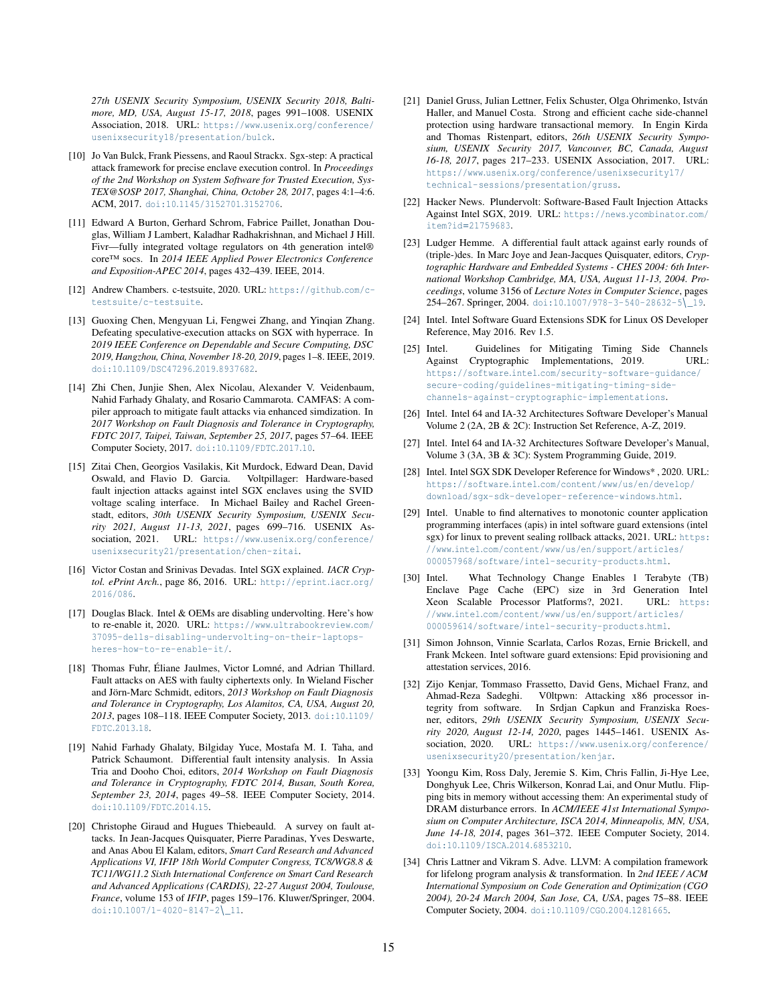*27th USENIX Security Symposium, USENIX Security 2018, Baltimore, MD, USA, August 15-17, 2018*, pages 991–1008. USENIX Association, 2018. URL: https://www.usenix.[org/conference/](https://www.usenix.org/conference/usenixsecurity18/presentation/bulck) [usenixsecurity18/presentation/bulck](https://www.usenix.org/conference/usenixsecurity18/presentation/bulck).

- <span id="page-14-7"></span>[10] Jo Van Bulck, Frank Piessens, and Raoul Strackx. Sgx-step: A practical attack framework for precise enclave execution control. In *Proceedings of the 2nd Workshop on System Software for Trusted Execution, Sys-TEX@SOSP 2017, Shanghai, China, October 28, 2017*, pages 4:1–4:6. ACM, 2017. doi:10.[1145/3152701](https://doi.org/10.1145/3152701.3152706).3152706.
- <span id="page-14-2"></span>[11] Edward A Burton, Gerhard Schrom, Fabrice Paillet, Jonathan Douglas, William J Lambert, Kaladhar Radhakrishnan, and Michael J Hill. Fivr—fully integrated voltage regulators on 4th generation intel® core™ socs. In *2014 IEEE Applied Power Electronics Conference and Exposition-APEC 2014*, pages 432–439. IEEE, 2014.
- <span id="page-14-20"></span>[12] Andrew Chambers. c-testsuite, 2020. URL: [https://github](https://github.com/c-testsuite/c-testsuite).com/c[testsuite/c-testsuite](https://github.com/c-testsuite/c-testsuite).
- <span id="page-14-8"></span>[13] Guoxing Chen, Mengyuan Li, Fengwei Zhang, and Yinqian Zhang. Defeating speculative-execution attacks on SGX with hyperrace. In *2019 IEEE Conference on Dependable and Secure Computing, DSC 2019, Hangzhou, China, November 18-20, 2019*, pages 1–8. IEEE, 2019. doi:10.[1109/DSC47296](https://doi.org/10.1109/DSC47296.2019.8937682).2019.8937682.
- <span id="page-14-17"></span>[14] Zhi Chen, Junjie Shen, Alex Nicolau, Alexander V. Veidenbaum, Nahid Farhady Ghalaty, and Rosario Cammarota. CAMFAS: A compiler approach to mitigate fault attacks via enhanced simdization. In *2017 Workshop on Fault Diagnosis and Tolerance in Cryptography, FDTC 2017, Taipei, Taiwan, September 25, 2017*, pages 57–64. IEEE Computer Society, 2017. doi:10.[1109/FDTC](https://doi.org/10.1109/FDTC.2017.10).2017.10.
- <span id="page-14-0"></span>[15] Zitai Chen, Georgios Vasilakis, Kit Murdock, Edward Dean, David Oswald, and Flavio D. Garcia. Voltpillager: Hardware-based fault injection attacks against intel SGX enclaves using the SVID voltage scaling interface. In Michael Bailey and Rachel Greenstadt, editors, *30th USENIX Security Symposium, USENIX Security 2021, August 11-13, 2021*, pages 699–716. USENIX Association, 2021. URL: https://www.usenix.[org/conference/](https://www.usenix.org/conference/usenixsecurity21/presentation/chen-zitai) [usenixsecurity21/presentation/chen-zitai](https://www.usenix.org/conference/usenixsecurity21/presentation/chen-zitai).
- <span id="page-14-5"></span>[16] Victor Costan and Srinivas Devadas. Intel SGX explained. *IACR Cryptol. ePrint Arch.*, page 86, 2016. URL: [http://eprint](http://eprint.iacr.org/2016/086).iacr.org/ [2016/086](http://eprint.iacr.org/2016/086).
- <span id="page-14-3"></span>[17] Douglas Black. Intel & OEMs are disabling undervolting. Here's how to re-enable it, 2020. URL: https://www.[ultrabookreview](https://www.ultrabookreview.com/37095-dells-disabling-undervolting-on-their-laptops-heres-how-to-re-enable-it/).com/ [37095-dells-disabling-undervolting-on-their-laptops](https://www.ultrabookreview.com/37095-dells-disabling-undervolting-on-their-laptops-heres-how-to-re-enable-it/)[heres-how-to-re-enable-it/](https://www.ultrabookreview.com/37095-dells-disabling-undervolting-on-their-laptops-heres-how-to-re-enable-it/).
- <span id="page-14-11"></span>[18] Thomas Fuhr, Éliane Jaulmes, Victor Lomné, and Adrian Thillard. Fault attacks on AES with faulty ciphertexts only. In Wieland Fischer and Jörn-Marc Schmidt, editors, *2013 Workshop on Fault Diagnosis and Tolerance in Cryptography, Los Alamitos, CA, USA, August 20, 2013*, pages 108–118. IEEE Computer Society, 2013. [doi:10](https://doi.org/10.1109/FDTC.2013.18).1109/ [FDTC](https://doi.org/10.1109/FDTC.2013.18).2013.18.
- <span id="page-14-13"></span>[19] Nahid Farhady Ghalaty, Bilgiday Yuce, Mostafa M. I. Taha, and Patrick Schaumont. Differential fault intensity analysis. In Assia Tria and Dooho Choi, editors, *2014 Workshop on Fault Diagnosis and Tolerance in Cryptography, FDTC 2014, Busan, South Korea, September 23, 2014*, pages 49–58. IEEE Computer Society, 2014. doi:10.[1109/FDTC](https://doi.org/10.1109/FDTC.2014.15).2014.15.
- <span id="page-14-10"></span>[20] Christophe Giraud and Hugues Thiebeauld. A survey on fault attacks. In Jean-Jacques Quisquater, Pierre Paradinas, Yves Deswarte, and Anas Abou El Kalam, editors, *Smart Card Research and Advanced Applications VI, IFIP 18th World Computer Congress, TC8/WG8.8 & TC11/WG11.2 Sixth International Conference on Smart Card Research and Advanced Applications (CARDIS), 22-27 August 2004, Toulouse, France*, volume 153 of *IFIP*, pages 159–176. Kluwer/Springer, 2004. doi:10.[1007/1-4020-8147-2](https://doi.org/10.1007/1-4020-8147-2_11)\\_11.
- <span id="page-14-9"></span>[21] Daniel Gruss, Julian Lettner, Felix Schuster, Olga Ohrimenko, István Haller, and Manuel Costa. Strong and efficient cache side-channel protection using hardware transactional memory. In Engin Kirda and Thomas Ristenpart, editors, *26th USENIX Security Symposium, USENIX Security 2017, Vancouver, BC, Canada, August 16-18, 2017*, pages 217–233. USENIX Association, 2017. URL: https://www.usenix.[org/conference/usenixsecurity17/](https://www.usenix.org/conference/usenixsecurity17/technical-sessions/presentation/gruss) [technical-sessions/presentation/gruss](https://www.usenix.org/conference/usenixsecurity17/technical-sessions/presentation/gruss).
- <span id="page-14-4"></span>[22] Hacker News. Plundervolt: Software-Based Fault Injection Attacks Against Intel SGX, 2019. URL: [https://news](https://news.ycombinator.com/item?id=21759683).ycombinator.com/ item?id=[21759683](https://news.ycombinator.com/item?id=21759683).
- <span id="page-14-12"></span>[23] Ludger Hemme. A differential fault attack against early rounds of (triple-)des. In Marc Joye and Jean-Jacques Quisquater, editors, *Cryptographic Hardware and Embedded Systems - CHES 2004: 6th International Workshop Cambridge, MA, USA, August 11-13, 2004. Proceedings*, volume 3156 of *Lecture Notes in Computer Science*, pages 254–267. Springer, 2004. doi:10.[1007/978-3-540-28632-5](https://doi.org/10.1007/978-3-540-28632-5_19)\\_19.
- <span id="page-14-16"></span>[24] Intel. Intel Software Guard Extensions SDK for Linux OS Developer Reference, May 2016. Rev 1.5.
- <span id="page-14-24"></span>[25] Intel. Guidelines for Mitigating Timing Side Channels Against Cryptographic Implementations, 2019. URL: https://software.intel.[com/security-software-guidance/](https://software.intel.com/security-software-guidance/secure-coding/guidelines-mitigating-timing-side-channels-against-cryptographic-implementations) [secure-coding/guidelines-mitigating-timing-side](https://software.intel.com/security-software-guidance/secure-coding/guidelines-mitigating-timing-side-channels-against-cryptographic-implementations)[channels-against-cryptographic-implementations](https://software.intel.com/security-software-guidance/secure-coding/guidelines-mitigating-timing-side-channels-against-cryptographic-implementations).
- <span id="page-14-19"></span>[26] Intel. Intel 64 and IA-32 Architectures Software Developer's Manual Volume 2 (2A, 2B & 2C): Instruction Set Reference, A-Z, 2019.
- <span id="page-14-6"></span>[27] Intel. Intel 64 and IA-32 Architectures Software Developer's Manual, Volume 3 (3A, 3B & 3C): System Programming Guide, 2019.
- <span id="page-14-22"></span>[28] Intel. Intel SGX SDK Developer Reference for Windows\*, 2020. URL: https://software.intel.[com/content/www/us/en/develop/](https://software.intel.com/content/www/us/en/develop/download/sgx-sdk-developer-reference-windows.html) [download/sgx-sdk-developer-reference-windows](https://software.intel.com/content/www/us/en/develop/download/sgx-sdk-developer-reference-windows.html).html.
- <span id="page-14-21"></span>[29] Intel. Unable to find alternatives to monotonic counter application programming interfaces (apis) in intel software guard extensions (intel sgx) for linux to prevent sealing rollback attacks, 2021. URL: [https:](https://www.intel.com/content/www/us/en/support/articles/000057968/software/intel-security-products.html) //www.intel.[com/content/www/us/en/support/articles/](https://www.intel.com/content/www/us/en/support/articles/000057968/software/intel-security-products.html) [000057968/software/intel-security-products](https://www.intel.com/content/www/us/en/support/articles/000057968/software/intel-security-products.html).html.
- <span id="page-14-23"></span>[30] Intel. What Technology Change Enables 1 Terabyte (TB) Enclave Page Cache (EPC) size in 3rd Generation Intel Xeon Scalable Processor Platforms?, 2021. URL: [https:](https://www.intel.com/content/www/us/en/support/articles/000059614/software/intel-security-products.html) //www.intel.[com/content/www/us/en/support/articles/](https://www.intel.com/content/www/us/en/support/articles/000059614/software/intel-security-products.html) [000059614/software/intel-security-products](https://www.intel.com/content/www/us/en/support/articles/000059614/software/intel-security-products.html).html.
- <span id="page-14-15"></span>[31] Simon Johnson, Vinnie Scarlata, Carlos Rozas, Ernie Brickell, and Frank Mckeen. Intel software guard extensions: Epid provisioning and attestation services, 2016.
- <span id="page-14-1"></span>[32] Zijo Kenjar, Tommaso Frassetto, David Gens, Michael Franz, and Ahmad-Reza Sadeghi. V0ltpwn: Attacking x86 processor integrity from software. In Srdjan Capkun and Franziska Roesner, editors, *29th USENIX Security Symposium, USENIX Security 2020, August 12-14, 2020*, pages 1445–1461. USENIX Association, 2020. URL: https://www.usenix.[org/conference/](https://www.usenix.org/conference/usenixsecurity20/presentation/kenjar) [usenixsecurity20/presentation/kenjar](https://www.usenix.org/conference/usenixsecurity20/presentation/kenjar).
- <span id="page-14-14"></span>[33] Yoongu Kim, Ross Daly, Jeremie S. Kim, Chris Fallin, Ji-Hye Lee, Donghyuk Lee, Chris Wilkerson, Konrad Lai, and Onur Mutlu. Flipping bits in memory without accessing them: An experimental study of DRAM disturbance errors. In *ACM/IEEE 41st International Symposium on Computer Architecture, ISCA 2014, Minneapolis, MN, USA, June 14-18, 2014*, pages 361–372. IEEE Computer Society, 2014. doi:10.[1109/ISCA](https://doi.org/10.1109/ISCA.2014.6853210).2014.6853210.
- <span id="page-14-18"></span>[34] Chris Lattner and Vikram S. Adve. LLVM: A compilation framework for lifelong program analysis & transformation. In *2nd IEEE / ACM International Symposium on Code Generation and Optimization (CGO 2004), 20-24 March 2004, San Jose, CA, USA*, pages 75–88. IEEE Computer Society, 2004. doi:10.[1109/CGO](https://doi.org/10.1109/CGO.2004.1281665).2004.1281665.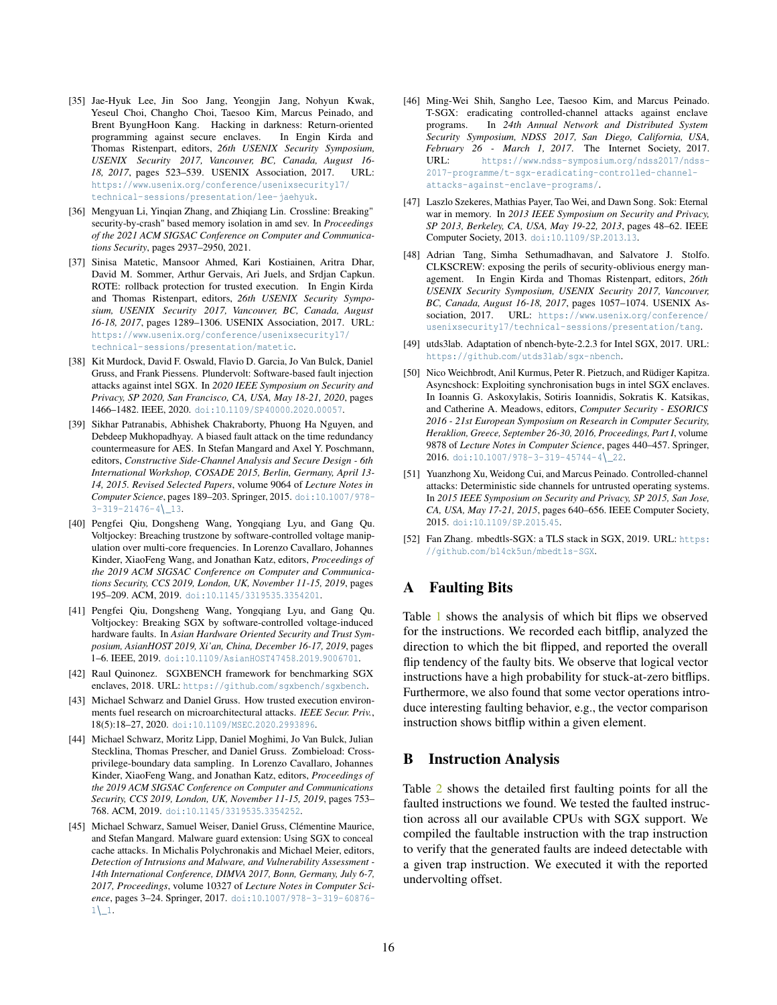- <span id="page-15-4"></span>[35] Jae-Hyuk Lee, Jin Soo Jang, Yeongjin Jang, Nohyun Kwak, Yeseul Choi, Changho Choi, Taesoo Kim, Marcus Peinado, and Brent ByungHoon Kang. Hacking in darkness: Return-oriented programming against secure enclaves. In Engin Kirda and Thomas Ristenpart, editors, *26th USENIX Security Symposium, USENIX Security 2017, Vancouver, BC, Canada, August 16- 18, 2017*, pages 523–539. USENIX Association, 2017. URL: https://www.usenix.[org/conference/usenixsecurity17/](https://www.usenix.org/conference/usenixsecurity17/technical-sessions/presentation/lee-jaehyuk) [technical-sessions/presentation/lee-jaehyuk](https://www.usenix.org/conference/usenixsecurity17/technical-sessions/presentation/lee-jaehyuk).
- <span id="page-15-19"></span>[36] Mengyuan Li, Yinqian Zhang, and Zhiqiang Lin. Crossline: Breaking" security-by-crash" based memory isolation in amd sev. In *Proceedings of the 2021 ACM SIGSAC Conference on Computer and Communications Security*, pages 2937–2950, 2021.
- <span id="page-15-11"></span>[37] Sinisa Matetic, Mansoor Ahmed, Kari Kostiainen, Aritra Dhar, David M. Sommer, Arthur Gervais, Ari Juels, and Srdjan Capkun. ROTE: rollback protection for trusted execution. In Engin Kirda and Thomas Ristenpart, editors, *26th USENIX Security Symposium, USENIX Security 2017, Vancouver, BC, Canada, August 16-18, 2017*, pages 1289–1306. USENIX Association, 2017. URL: https://www.usenix.[org/conference/usenixsecurity17/](https://www.usenix.org/conference/usenixsecurity17/technical-sessions/presentation/matetic) [technical-sessions/presentation/matetic](https://www.usenix.org/conference/usenixsecurity17/technical-sessions/presentation/matetic).
- <span id="page-15-0"></span>[38] Kit Murdock, David F. Oswald, Flavio D. Garcia, Jo Van Bulck, Daniel Gruss, and Frank Piessens. Plundervolt: Software-based fault injection attacks against intel SGX. In *2020 IEEE Symposium on Security and Privacy, SP 2020, San Francisco, CA, USA, May 18-21, 2020*, pages 1466–1482. IEEE, 2020. doi:10.[1109/SP40000](https://doi.org/10.1109/SP40000.2020.00057).2020.00057.
- <span id="page-15-13"></span>[39] Sikhar Patranabis, Abhishek Chakraborty, Phuong Ha Nguyen, and Debdeep Mukhopadhyay. A biased fault attack on the time redundancy countermeasure for AES. In Stefan Mangard and Axel Y. Poschmann, editors, *Constructive Side-Channel Analysis and Secure Design - 6th International Workshop, COSADE 2015, Berlin, Germany, April 13- 14, 2015. Revised Selected Papers*, volume 9064 of *Lecture Notes in Computer Science*, pages 189–203. Springer, 2015. doi:10.[1007/978-](https://doi.org/10.1007/978-3-319-21476-4_13)  $3-319-21476-4$ <sub>-13</sub>.
- <span id="page-15-1"></span>[40] Pengfei Qiu, Dongsheng Wang, Yongqiang Lyu, and Gang Qu. Voltjockey: Breaching trustzone by software-controlled voltage manipulation over multi-core frequencies. In Lorenzo Cavallaro, Johannes Kinder, XiaoFeng Wang, and Jonathan Katz, editors, *Proceedings of the 2019 ACM SIGSAC Conference on Computer and Communications Security, CCS 2019, London, UK, November 11-15, 2019*, pages 195–209. ACM, 2019. doi:10.[1145/3319535](https://doi.org/10.1145/3319535.3354201).3354201.
- <span id="page-15-2"></span>[41] Pengfei Qiu, Dongsheng Wang, Yongqiang Lyu, and Gang Qu. Voltjockey: Breaking SGX by software-controlled voltage-induced hardware faults. In *Asian Hardware Oriented Security and Trust Symposium, AsianHOST 2019, Xi'an, China, December 16-17, 2019*, pages 1–6. IEEE, 2019. doi:10.[1109/AsianHOST47458](https://doi.org/10.1109/AsianHOST47458.2019.9006701).2019.9006701.
- <span id="page-15-18"></span>[42] Raul Quinonez. SGXBENCH framework for benchmarking SGX enclaves, 2018. URL: https://github.[com/sgxbench/sgxbench](https://github.com/sgxbench/sgxbench).
- <span id="page-15-8"></span>[43] Michael Schwarz and Daniel Gruss. How trusted execution environments fuel research on microarchitectural attacks. *IEEE Secur. Priv.*, 18(5):18–27, 2020. doi:10.[1109/MSEC](https://doi.org/10.1109/MSEC.2020.2993896).2020.2993896.
- <span id="page-15-9"></span>[44] Michael Schwarz, Moritz Lipp, Daniel Moghimi, Jo Van Bulck, Julian Stecklina, Thomas Prescher, and Daniel Gruss. Zombieload: Crossprivilege-boundary data sampling. In Lorenzo Cavallaro, Johannes Kinder, XiaoFeng Wang, and Jonathan Katz, editors, *Proceedings of the 2019 ACM SIGSAC Conference on Computer and Communications Security, CCS 2019, London, UK, November 11-15, 2019*, pages 753– 768. ACM, 2019. doi:10.[1145/3319535](https://doi.org/10.1145/3319535.3354252).3354252.
- <span id="page-15-6"></span>[45] Michael Schwarz, Samuel Weiser, Daniel Gruss, Clémentine Maurice, and Stefan Mangard. Malware guard extension: Using SGX to conceal cache attacks. In Michalis Polychronakis and Michael Meier, editors, *Detection of Intrusions and Malware, and Vulnerability Assessment - 14th International Conference, DIMVA 2017, Bonn, Germany, July 6-7, 2017, Proceedings*, volume 10327 of *Lecture Notes in Computer Science*, pages 3–24. Springer, 2017. doi:10.[1007/978-3-319-60876-](https://doi.org/10.1007/978-3-319-60876-1_1)  $1\left\{ \_\right\}$ .
- <span id="page-15-10"></span>[46] Ming-Wei Shih, Sangho Lee, Taesoo Kim, and Marcus Peinado. T-SGX: eradicating controlled-channel attacks against enclave programs. In *24th Annual Network and Distributed System Security Symposium, NDSS 2017, San Diego, California, USA, February 26 - March 1, 2017*. The Internet Society, 2017. URL: https://www.ndss-symposium.[org/ndss2017/ndss-](https://www.ndss-symposium.org/ndss2017/ndss-2017-programme/t-sgx-eradicating-controlled-channel-attacks-against-enclave-programs/)[2017-programme/t-sgx-eradicating-controlled-channel](https://www.ndss-symposium.org/ndss2017/ndss-2017-programme/t-sgx-eradicating-controlled-channel-attacks-against-enclave-programs/)[attacks-against-enclave-programs/](https://www.ndss-symposium.org/ndss2017/ndss-2017-programme/t-sgx-eradicating-controlled-channel-attacks-against-enclave-programs/).
- <span id="page-15-15"></span>[47] Laszlo Szekeres, Mathias Payer, Tao Wei, and Dawn Song. Sok: Eternal war in memory. In *2013 IEEE Symposium on Security and Privacy, SP 2013, Berkeley, CA, USA, May 19-22, 2013*, pages 48–62. IEEE Computer Society, 2013. doi:10.[1109/SP](https://doi.org/10.1109/SP.2013.13).2013.13.
- <span id="page-15-3"></span>[48] Adrian Tang, Simha Sethumadhavan, and Salvatore J. Stolfo. CLKSCREW: exposing the perils of security-oblivious energy management. In Engin Kirda and Thomas Ristenpart, editors, *26th USENIX Security Symposium, USENIX Security 2017, Vancouver, BC, Canada, August 16-18, 2017*, pages 1057–1074. USENIX Association, 2017. URL: https://www.usenix.[org/conference/](https://www.usenix.org/conference/usenixsecurity17/technical-sessions/presentation/tang) [usenixsecurity17/technical-sessions/presentation/tang](https://www.usenix.org/conference/usenixsecurity17/technical-sessions/presentation/tang).
- <span id="page-15-17"></span>[49] utds3lab. Adaptation of nbench-byte-2.2.3 for Intel SGX, 2017. URL: https://github.[com/utds3lab/sgx-nbench](https://github.com/utds3lab/sgx-nbench).
- <span id="page-15-5"></span>[50] Nico Weichbrodt, Anil Kurmus, Peter R. Pietzuch, and Rüdiger Kapitza. Asyncshock: Exploiting synchronisation bugs in intel SGX enclaves. In Ioannis G. Askoxylakis, Sotiris Ioannidis, Sokratis K. Katsikas, and Catherine A. Meadows, editors, *Computer Security - ESORICS 2016 - 21st European Symposium on Research in Computer Security, Heraklion, Greece, September 26-30, 2016, Proceedings, Part I*, volume 9878 of *Lecture Notes in Computer Science*, pages 440–457. Springer, 2016. doi:10.[1007/978-3-319-45744-4](https://doi.org/10.1007/978-3-319-45744-4_22)\ 22.
- <span id="page-15-7"></span>[51] Yuanzhong Xu, Weidong Cui, and Marcus Peinado. Controlled-channel attacks: Deterministic side channels for untrusted operating systems. In *2015 IEEE Symposium on Security and Privacy, SP 2015, San Jose, CA, USA, May 17-21, 2015*, pages 640–656. IEEE Computer Society, 2015. doi:10.[1109/SP](https://doi.org/10.1109/SP.2015.45).2015.45.
- <span id="page-15-16"></span>[52] Fan Zhang. mbedtls-SGX: a TLS stack in SGX, 2019. URL: [https:](https://github.com/bl4ck5un/mbedtls-SGX) //github.[com/bl4ck5un/mbedtls-SGX](https://github.com/bl4ck5un/mbedtls-SGX).

# <span id="page-15-14"></span>A Faulting Bits

Table [1](#page-16-1) shows the analysis of which bit flips we observed for the instructions. We recorded each bitflip, analyzed the direction to which the bit flipped, and reported the overall flip tendency of the faulty bits. We observe that logical vector instructions have a high probability for stuck-at-zero bitflips. Furthermore, we also found that some vector operations introduce interesting faulting behavior, e.g., the vector comparison instruction shows bitflip within a given element.

## <span id="page-15-12"></span>B Instruction Analysis

Table [2](#page-16-0) shows the detailed first faulting points for all the faulted instructions we found. We tested the faulted instruction across all our available CPUs with SGX support. We compiled the faultable instruction with the trap instruction to verify that the generated faults are indeed detectable with a given trap instruction. We executed it with the reported undervolting offset.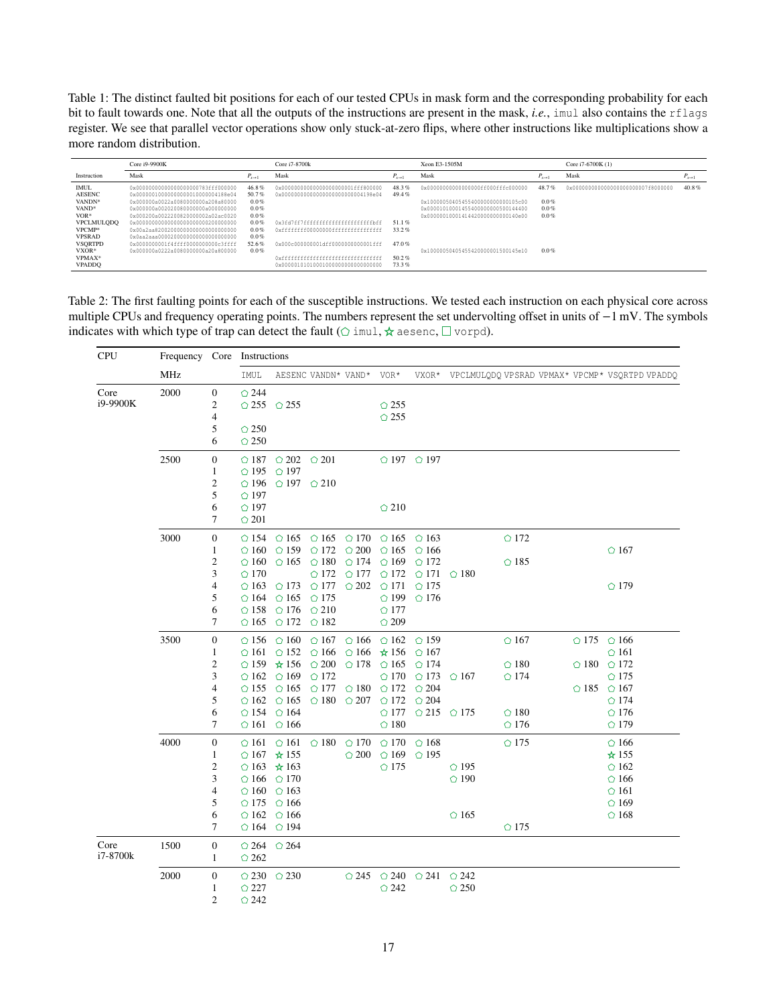<span id="page-16-1"></span>Table 1: The distinct faulted bit positions for each of our tested CPUs in mask form and the corresponding probability for each bit to fault towards one. Note that all the outputs of the instructions are present in the mask, *i.e.*, imul also contains the rflags register. We see that parallel vector operations show only stuck-at-zero flips, where other instructions like multiplications show a more random distribution.

|                                                                                                                                                  | Core i9-9900K                                                                                                                                                                                                                                                                                                                                                                                 | Core i7-8700k                                                                                     | Xeon E3-1505M                                                                                                                                                                                      | Core i7-6700K (1)                         |                                                                                                                                                                                              |                                                   |                                     |                      |
|--------------------------------------------------------------------------------------------------------------------------------------------------|-----------------------------------------------------------------------------------------------------------------------------------------------------------------------------------------------------------------------------------------------------------------------------------------------------------------------------------------------------------------------------------------------|---------------------------------------------------------------------------------------------------|----------------------------------------------------------------------------------------------------------------------------------------------------------------------------------------------------|-------------------------------------------|----------------------------------------------------------------------------------------------------------------------------------------------------------------------------------------------|---------------------------------------------------|-------------------------------------|----------------------|
| Instruction                                                                                                                                      | Mask                                                                                                                                                                                                                                                                                                                                                                                          | $P_{x\rightarrow 1}$                                                                              | Mask                                                                                                                                                                                               | $P_{x\rightarrow 1}$                      | Mask                                                                                                                                                                                         | $P_{r\rightarrow 1}$                              | Mask                                | $P_{x\rightarrow 1}$ |
| <b>IMUL</b><br><b>AESENC</b><br>VANDN <sup>*</sup><br>VAND*<br>$VOR*$<br><b>VPCLMULQDQ</b><br>VPCMP*<br><b>VPSRAD</b><br><b>VSORTPD</b><br>VXOR* | 0x000000000000000000000783fff000000<br>0x000000100000000000010000004188e04<br>0x000000a0022a0080000000a208a80000<br>0x000000a002020080000000a000000000<br>0x000200a0022200820000002a02ac0020<br>0x000000000000000000000000200000000<br>0x00a2aa820020000000000000000000000<br>0x0aa2aaa00002000000000000000000000<br>0x0000000001f4ffff0000000000c3ffff<br>0x000000a0222a0080000000a20a800000 | 46.8%<br>50.7%<br>$0.0\%$<br>$0.0\%$<br>$0.0\%$<br>0.0%<br>$0.0\%$<br>$0.0\%$<br>52.6%<br>$0.0\%$ | 0x000000000000000000000001fff800000<br>0x0000000000000000000000000004198e04<br>0x3fd7ff7ffffffffffffffffffffffffffff<br>0xffffffff00000000ffffffffffffffffff<br>0x000c000000001dff0000000000001fff | 48.3%<br>49.4%<br>51.1%<br>33.2%<br>47.0% | 0x000000000000000000ff000fffc000000<br>0x100000504054554000000000000105c00<br>0x00001010001455400000000500144400<br>0x00000010001414420000000000140e00<br>0x10000050405455420000001500145e10 | 48.7%<br>$0.0\%$<br>$0.0\%$<br>$0.0\%$<br>$0.0\%$ | 0x0000000000000000000000007f8000000 | 40.8%                |
| VPMAX*<br><b>VPADDO</b>                                                                                                                          |                                                                                                                                                                                                                                                                                                                                                                                               |                                                                                                   | 0x000001010100010000000000000000000                                                                                                                                                                | 50.2%<br>73.3%                            |                                                                                                                                                                                              |                                                   |                                     |                      |

<span id="page-16-0"></span>Table 2: The first faulting points for each of the susceptible instructions. We tested each instruction on each physical core across multiple CPUs and frequency operating points. The numbers represent the set undervolting offset in units of −1 mV. The symbols indicates with which type of trap can detect the fault ( $\circ$  imul,  $\star$  aesenc,  $\square$  vorpd).

| <b>CPU</b> | MHz  |                  | Frequency Core Instructions   |                                              |                                                             |                |                               |                                              |                |                |  |                                                |
|------------|------|------------------|-------------------------------|----------------------------------------------|-------------------------------------------------------------|----------------|-------------------------------|----------------------------------------------|----------------|----------------|--|------------------------------------------------|
|            |      |                  | IMUL                          |                                              | AESENC VANDN* VAND*                                         |                | VOR*                          | VXOR*                                        |                |                |  | VPCLMULQDQ VPSRAD VPMAX* VPCMP* VSQRTPD VPADDQ |
| Core       | 2000 | $\mathbf{0}$     | $\bigcirc$ 244                |                                              |                                                             |                |                               |                                              |                |                |  |                                                |
| i9-9900K   |      | $\mathfrak{2}$   | $\bigcirc$ 255 $\bigcirc$ 255 |                                              |                                                             |                | $\bigcirc$ 255                |                                              |                |                |  |                                                |
|            |      | $\overline{4}$   |                               |                                              |                                                             |                | $\circ$ 255                   |                                              |                |                |  |                                                |
|            |      | 5                | $\bigcirc$ 250                |                                              |                                                             |                |                               |                                              |                |                |  |                                                |
|            |      | 6                | $\bigcirc$ 250                |                                              |                                                             |                |                               |                                              |                |                |  |                                                |
|            | 2500 | $\mathbf{0}$     |                               | $\bigcirc$ 187 $\bigcirc$ 202 $\bigcirc$ 201 |                                                             |                |                               | $\bigcirc$ 197 $\bigcirc$ 197                |                |                |  |                                                |
|            |      | $\mathbf{1}$     | $\bigcirc$ 195                | $\bigcirc$ 197                               |                                                             |                |                               |                                              |                |                |  |                                                |
|            |      | $\mathfrak{2}$   | $\bigcirc$ 196                | $\bigcirc$ 197 $\bigcirc$ 210                |                                                             |                |                               |                                              |                |                |  |                                                |
|            |      | 5                | $\bigcirc$ 197                |                                              |                                                             |                |                               |                                              |                |                |  |                                                |
|            |      | 6                | $\bigcirc$ 197                |                                              |                                                             |                | $\bigcirc$ 210                |                                              |                |                |  |                                                |
|            |      | 7                | $\bigcirc$ 201                |                                              |                                                             |                |                               |                                              |                |                |  |                                                |
|            | 3000 | $\mathbf{0}$     | $\bigcirc$ 154                |                                              | $\bigcirc$ 165 $\bigcirc$ 165 $\bigcirc$ 170 $\bigcirc$ 165 |                |                               | $\bigcirc$ 163                               |                | $\bigcirc$ 172 |  |                                                |
|            |      | 1                | $\circ$ 160                   | $\bigcirc$ 159                               | $\bigcirc$ 172                                              | $\bigcirc$ 200 | $\circ$ 165                   | $\circ$ 166                                  |                |                |  | $\bigcirc$ 167                                 |
|            |      | $\overline{2}$   | $\circ$ 160                   | $\circ$ 165                                  | $\bigcirc$ 180                                              | $\bigcirc$ 174 | $\bigcirc$ 169                | $\bigcirc$ 172                               |                | $\bigcirc$ 185 |  |                                                |
|            |      | 3                | $\bigcirc$ 170                |                                              | $\bigcirc$ 172                                              | $\bigcirc$ 177 | $\bigcirc$ 172                | $\bigcirc$ 171                               | $\circ$ 180    |                |  |                                                |
|            |      | $\overline{4}$   | $\bigcirc$ 163                | $\bigcirc$ 173                               | $\circ$ 177                                                 | $\bigcirc$ 202 | $\bigcirc$ 171                | $\bigcirc$ 175                               |                |                |  | $\bigcirc$ 179                                 |
|            |      | 5                | $\bigcirc$ 164                | $\bigcirc$ 165 $\bigcirc$ 175                |                                                             |                | $\bigcirc$ 199                | $\bigcirc$ 176                               |                |                |  |                                                |
|            |      | 6                | $\bigcirc$ 158                | $\bigcirc$ 176                               | $\bigcirc$ 210                                              |                | $\bigcirc$ 177                |                                              |                |                |  |                                                |
|            |      | 7                | $\bigcirc$ 165                | $\bigcirc$ 172                               | $\bigcirc$ 182                                              |                | $\bigcirc$ 209                |                                              |                |                |  |                                                |
|            | 3500 | $\boldsymbol{0}$ | $\circ$ 156                   | $\circ$ 160                                  | $\circ$ 167                                                 | $\bigcirc$ 166 | $\circ$ 162                   | $\bigcirc$ 159                               |                | $\bigcirc$ 167 |  | $\bigcirc$ 175 $\bigcirc$ 166                  |
|            |      | $\mathbf{1}$     | $\circ$ 161                   | $\bigcirc$ 152                               | $\bigcirc$ 166                                              | $\circ$ 166    | $\star 156$                   | $\bigcirc$ 167                               |                |                |  | $\circ$ 161                                    |
|            |      | $\overline{2}$   | $\bigcirc$ 159                | $\star$ 156                                  | $\bigcirc$ 200                                              | $\bigcirc$ 178 | $\circ$ 165                   | $\bigcirc$ 174                               |                | $\bigcirc$ 180 |  | $\bigcirc$ 180 $\bigcirc$ 172                  |
|            |      | 3                | $\circ$ 162                   | $\bigcirc$ 169                               | $\bigcirc$ 172                                              |                | $\circ$ 170                   | $\bigcirc$ 173                               | $\bigcirc$ 167 | $\bigcirc$ 174 |  | $\bigcirc$ 175                                 |
|            |      | $\overline{4}$   | $\bigcirc$ 155                | $\bigcirc$ 165                               | $\bigcirc$ 177                                              | $\bigcirc$ 180 | $\bigcirc$ 172                | $\bigcirc$ 204                               |                |                |  | $\bigcirc$ 185 $\bigcirc$ 167                  |
|            |      | 5                |                               | $\bigcirc$ 162 $\bigcirc$ 165 $\bigcirc$ 180 |                                                             | $\circ$ 207    | $\bigcirc$ 172 $\bigcirc$ 204 |                                              |                |                |  | $\bigcirc$ 174                                 |
|            |      | 6                | $\bigcirc$ 154 $\bigcirc$ 164 |                                              |                                                             |                |                               | $\bigcirc$ 177 $\bigcirc$ 215                | $\bigcirc$ 175 | $\bigcirc$ 180 |  | $\bigcirc$ 176                                 |
|            |      | $\tau$           | $\bigcirc$ 161 $\bigcirc$ 166 |                                              |                                                             |                | $\bigcirc$ 180                |                                              |                | $\bigcirc$ 176 |  | $\bigcirc$ 179                                 |
|            | 4000 | $\mathbf{0}$     | $\circ$ 161                   | $\circ$ 161                                  | $\bigcirc$ 180                                              | $\bigcirc$ 170 | $\bigcirc$ 170                | $\bigcirc$ 168                               |                | $\bigcirc$ 175 |  | $\circ$ 166                                    |
|            |      | $\mathbf{1}$     | $\bigcirc$ 167 $\star$ 155    |                                              |                                                             | $\circ$ 200    | $\bigcirc$ 169                | $\bigcirc$ 195                               |                |                |  | ☆ 155                                          |
|            |      | $\overline{c}$   | $\bigcirc$ 163 $\star$ 163    |                                              |                                                             |                | $\bigcirc$ 175                |                                              | $\circ$ 195    |                |  | $\circ$ 162                                    |
|            |      | 3                | $\circ$ 166                   | $\bigcirc$ 170                               |                                                             |                |                               |                                              | $\circ$ 190    |                |  | $\circ$ 166                                    |
|            |      | $\overline{4}$   | $\circ$ 160                   | $\bigcirc$ 163                               |                                                             |                |                               |                                              |                |                |  | $\circ$ 161                                    |
|            |      | 5                | $\bigcirc$ 175                | $\circ$ 166                                  |                                                             |                |                               |                                              |                |                |  | $\circ$ 169                                    |
|            |      | 6                | $\circ$ 162                   | $\circ$ 166                                  |                                                             |                |                               |                                              | $\circ$ 165    |                |  | $\bigcirc$ 168                                 |
|            |      | 7                | $\bigcirc$ 164 $\bigcirc$ 194 |                                              |                                                             |                |                               |                                              |                | $\circ$ 175    |  |                                                |
| Core       | 1500 | $\mathbf{0}$     | $\bigcirc$ 264                | $\bigcirc$ 264                               |                                                             |                |                               |                                              |                |                |  |                                                |
| i7-8700k   |      | $\mathbf{1}$     | $\bigcirc$ 262                |                                              |                                                             |                |                               |                                              |                |                |  |                                                |
|            | 2000 | $\boldsymbol{0}$ | $\bigcirc$ 230                | $\bigcirc$ 230                               |                                                             | $\bigcirc$ 245 |                               | $\bigcirc$ 240 $\bigcirc$ 241 $\bigcirc$ 242 |                |                |  |                                                |
|            |      | 1                | $\bigcirc$ 227                |                                              |                                                             |                | $\bigcirc$ 242                |                                              | $\circ$ 250    |                |  |                                                |
|            |      | $\overline{2}$   | $\bigcirc$ 242                |                                              |                                                             |                |                               |                                              |                |                |  |                                                |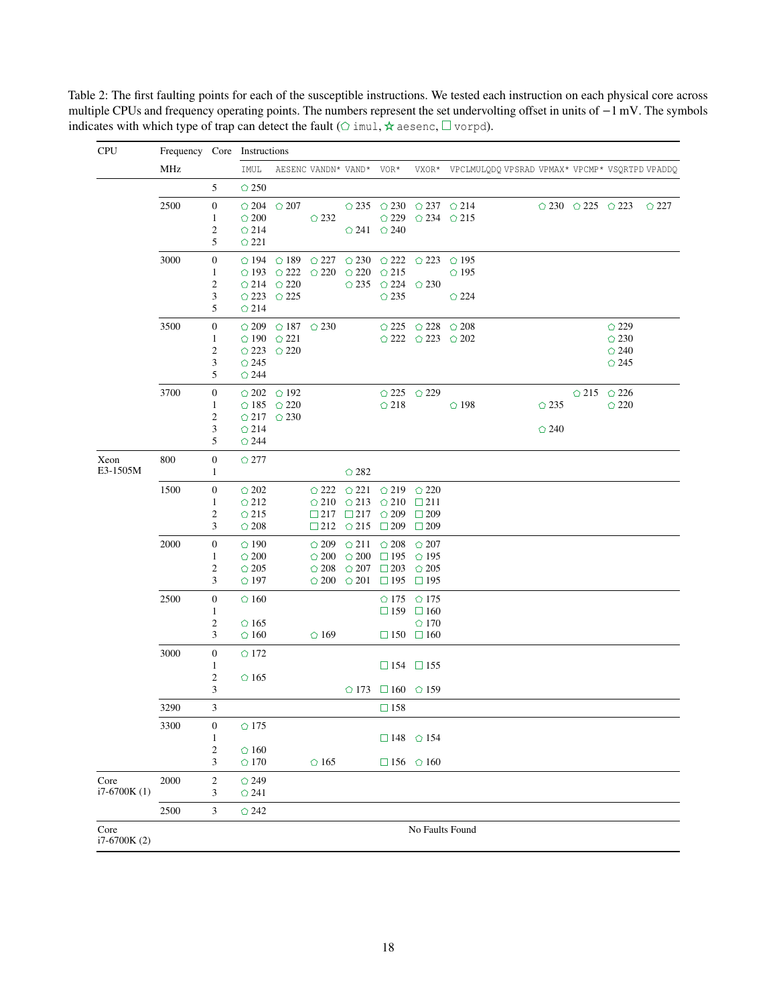CPU Frequency Core Instructions MHz IMUL AESENC VANDN\* VAND\* VOR\* VXOR\* VPCLMULQDQ VPSRAD VPMAX\* VPCMP\* VSQRTPD VPADDQ 5  $\bigcirc$  250  $\begin{array}{ccccccccc} 2500 && 0 && \odot{204} && \odot{207} && \odot{235} && \odot{230} && \odot{237} && \odot{214} && \odot{230} && \odot{225} && \odot{223} && \odot{227} \\ && 1 && \odot{200} && \odot{232} && \odot{229} && \odot{234} && \odot{215} && \odot{230} && \odot{225} && \odot{223} && \odot{227} \end{array}$ 1  $\circ$  200  $\circ$  232  $\circ$  229  $\circ$  234  $\circ$  215<br>2  $\circ$  214  $\circ$  241  $\circ$  240 2  $\odot$  214  $\odot$  241  $\odot$  240<br>5  $\odot$  221  $\bigcirc$  221 3000 0  $\bigcirc$  194  $\bigcirc$  189  $\bigcirc$  227  $\bigcirc$  230  $\bigcirc$  222  $\bigcirc$  223  $\bigcirc$  195  $\begin{array}{ccccccccc} 1 & & \bigcirc & 193 & \bigcirc & 222 & \bigcirc & 220 & \bigcirc & 220 & \bigcirc & 215 & \bigcirc & 195 \\ 2 & & \bigcirc & 214 & \bigcirc & 220 & & \bigcirc & 235 & \bigcirc & 224 & \bigcirc & 230 \end{array}$  $\begin{array}{ccccc} 2 & \multicolumn{1}{c}{}& \multicolumn{1}{c}{}& \multicolumn{1}{c}{}& \multicolumn{1}{c}{}& \multicolumn{1}{c}{}& \multicolumn{1}{c}{}& \multicolumn{1}{c}{}& \multicolumn{1}{c}{}& \multicolumn{1}{c}{}& \multicolumn{1}{c}{}& \multicolumn{1}{c}{}& \multicolumn{1}{c}{}& \multicolumn{1}{c}{}& \multicolumn{1}{c}{}& \multicolumn{1}{c}{}& \multicolumn{1}{c}{}& \multicolumn{1}{c}{}& \multicolumn{1}{c}{}& \multicolumn{1}{c}{}&$  $3 \qquad \textcircled{223 } \qquad \textcircled{225} \qquad \textcircled{235} \qquad \textcircled{224}$ <br>5 \qquad 214  $\bigcirc$  214 3500 0  $\bigcirc$  209  $\bigcirc$  187  $\bigcirc$  230  $\bigcirc$  225  $\bigcirc$  228  $\bigcirc$  208  $\bigcirc$  229  $\bigcirc$  202  $\bigcirc$  202  $\bigcirc$  202  $\bigcirc$  202  $\bigcirc$  230 1  $\bigcirc$  190  $\bigcirc$  221  $\bigcirc$  222  $\bigcirc$  223  $\bigcirc$  202  $2 \qquad \qquad \bigcirc 223 \qquad \bigcirc 220$ <br>3  $\qquad \bigcirc 245$ <br> $\qquad \qquad \bigcirc 245$  $3 \qquad \bigcirc 245$   $\qquad \qquad \bigcirc$  245 5  $\bigcirc$  244  $3700$  0  $202$   $0.192$   $0.225$   $0.229$   $0.215$   $0.226$   $0.226$   $0.235$   $0.220$   $0.235$   $0.220$  $\bigcirc$  185  $\bigcirc$  220 2  $\bigcirc$  217  $\bigcirc$  230<br>3  $\bigcirc$  214  $3 \qquad \bigcirc 214$   $\bigcirc$  240 5  $\bigcirc$  244 Xeon E3-1505M 800 0 ○ 277 1  $\qquad \qquad$  282 1500 0  $\bigcirc$  202  $\bigcirc$  222  $\bigcirc$  221  $\bigcirc$  219  $\bigcirc$  220<br>1  $\bigcirc$  212  $\bigcirc$  210  $\bigcirc$  213  $\bigcirc$  210  $\Box$  211  $\bigcirc$  213 2  $\circ$  215  $\Box$  217  $\Box$  217  $\circ$  209  $\Box$  209<br>3  $\circ$  208  $\Box$  212  $\circ$  215  $\Box$  209  $\Box$  209  $\Box$ 212  $\bigcirc$  215  $\Box$ 209  $\Box$ 209 2000 0  $\bigcirc$  190  $\bigcirc$  209  $\bigcirc$  211  $\bigcirc$  208  $\bigcirc$  207 1  $\bigcirc$  200  $\bigcirc$  200  $\bigcirc$  200  $\Box$  195  $\bigcirc$  195  $\begin{array}{cccccc} 2 & \multicolumn{1}{c}{} & \multicolumn{1}{c}{} & \multicolumn{1}{c}{} & \multicolumn{1}{c}{} & \multicolumn{1}{c}{} & \multicolumn{1}{c}{} & \multicolumn{1}{c}{} & \multicolumn{1}{c}{} & \multicolumn{1}{c}{} & \multicolumn{1}{c}{} & \multicolumn{1}{c}{} & \multicolumn{1}{c}{} & \multicolumn{1}{c}{} & \multicolumn{1}{c}{} & \multicolumn{1}{c}{} & \multicolumn{1}{c}{} & \multicolumn{1}{c}{} & \multicolumn{1}{c}{} & \multicolumn{1}{c}{} &$  $\bigcirc$  200  $\bigcirc$  201  $\Box$  195  $\Box$  195 2500 0  $\bigcirc$  160  $\bigcirc$  175  $\bigcirc$  175 1 159  $\Box$  159  $\Box$  160<br>2  $\Diamond$  165  $\Diamond$  170 2  $\circ$  165  $\circ$  170<br>3  $\circ$  160  $\circ$  169  $\Box$  150  $\Box$  160  $\circ$  160  $\circ$  169  $\Box$  150  $\Box$  160 3000 0 172 1  $\Box$  154  $\Box$  155<br>2  $\odot$  165  $\circ$  165 3  $\bigcirc$  173  $\Box$  160  $\bigcirc$  159  $3290$  3 158 3300 0 175 1 148  $\odot$  154  $\begin{array}{ccc} 2 & \circlearrowleft 160 \\ 3 & \circlearrowright 170 \end{array}$  $\bigcirc$  165 156  $\bigcirc$  160 Core i7-6700K (1) 2000 2 <del>○</del>249 3  $\bigcirc$  241 2500 3 242 Core i7-6700K (2) No Faults Found

Table 2: The first faulting points for each of the susceptible instructions. We tested each instruction on each physical core across multiple CPUs and frequency operating points. The numbers represent the set undervolting offset in units of −1 mV. The symbols indicates with which type of trap can detect the fault ( $\circ$  imul,  $\star$  aesenc,  $\Box$  vorpd).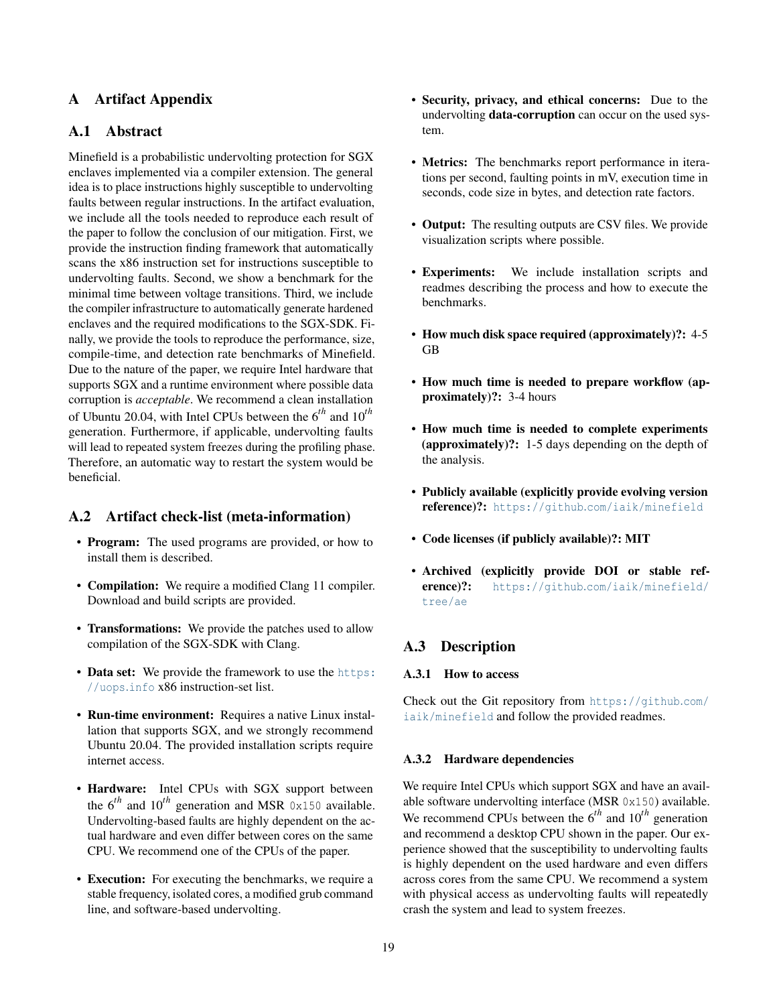# A Artifact Appendix

# A.1 Abstract

Minefield is a probabilistic undervolting protection for SGX enclaves implemented via a compiler extension. The general idea is to place instructions highly susceptible to undervolting faults between regular instructions. In the artifact evaluation, we include all the tools needed to reproduce each result of the paper to follow the conclusion of our mitigation. First, we provide the instruction finding framework that automatically scans the x86 instruction set for instructions susceptible to undervolting faults. Second, we show a benchmark for the minimal time between voltage transitions. Third, we include the compiler infrastructure to automatically generate hardened enclaves and the required modifications to the SGX-SDK. Finally, we provide the tools to reproduce the performance, size, compile-time, and detection rate benchmarks of Minefield. Due to the nature of the paper, we require Intel hardware that supports SGX and a runtime environment where possible data corruption is *acceptable*. We recommend a clean installation of Ubuntu 20.04, with Intel CPUs between the 6*th* and 10*th* generation. Furthermore, if applicable, undervolting faults will lead to repeated system freezes during the profiling phase. Therefore, an automatic way to restart the system would be beneficial.

# A.2 Artifact check-list (meta-information)

- **Program:** The used programs are provided, or how to install them is described.
- Compilation: We require a modified Clang 11 compiler. Download and build scripts are provided.
- Transformations: We provide the patches used to allow compilation of the SGX-SDK with Clang.
- Data set: We provide the framework to use the [https:](https://uops.info) [//uops](https://uops.info).info x86 instruction-set list.
- Run-time environment: Requires a native Linux installation that supports SGX, and we strongly recommend Ubuntu 20.04. The provided installation scripts require internet access.
- Hardware: Intel CPUs with SGX support between the  $6^{th}$  and  $10^{th}$  generation and MSR  $0x150$  available. Undervolting-based faults are highly dependent on the actual hardware and even differ between cores on the same CPU. We recommend one of the CPUs of the paper.
- Execution: For executing the benchmarks, we require a stable frequency, isolated cores, a modified grub command line, and software-based undervolting.
- Security, privacy, and ethical concerns: Due to the undervolting data-corruption can occur on the used system.
- Metrics: The benchmarks report performance in iterations per second, faulting points in mV, execution time in seconds, code size in bytes, and detection rate factors.
- Output: The resulting outputs are CSV files. We provide visualization scripts where possible.
- Experiments: We include installation scripts and readmes describing the process and how to execute the benchmarks.
- How much disk space required (approximately)?: 4-5 GB
- How much time is needed to prepare workflow (approximately)?: 3-4 hours
- How much time is needed to complete experiments (approximately)?: 1-5 days depending on the depth of the analysis.
- Publicly available (explicitly provide evolving version reference)?: https://github.[com/iaik/minefield](https://github.com/iaik/minefield)
- Code licenses (if publicly available)?: MIT
- Archived (explicitly provide DOI or stable reference)?: https://github.[com/iaik/minefield/](https://github.com/iaik/minefield/tree/ae) [tree/ae](https://github.com/iaik/minefield/tree/ae)

# A.3 Description

### A.3.1 How to access

Check out the Git repository from [https://github](https://github.com/iaik/minefield).com/ [iaik/minefield](https://github.com/iaik/minefield) and follow the provided readmes.

#### A.3.2 Hardware dependencies

We require Intel CPUs which support SGX and have an available software undervolting interface (MSR 0x150) available. We recommend CPUs between the 6*th* and 10*th* generation and recommend a desktop CPU shown in the paper. Our experience showed that the susceptibility to undervolting faults is highly dependent on the used hardware and even differs across cores from the same CPU. We recommend a system with physical access as undervolting faults will repeatedly crash the system and lead to system freezes.